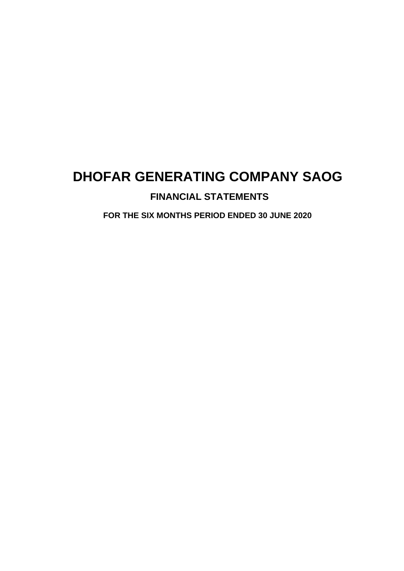# **FINANCIAL STATEMENTS**

**FOR THE SIX MONTHS PERIOD ENDED 30 JUNE 2020**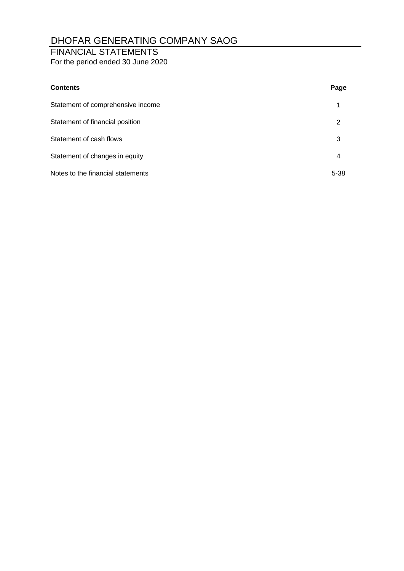### FINANCIAL STATEMENTS

For the period ended 30 June 2020

| <b>Contents</b>                   | Page     |
|-----------------------------------|----------|
| Statement of comprehensive income | 1        |
| Statement of financial position   | 2        |
| Statement of cash flows           | 3        |
| Statement of changes in equity    | 4        |
| Notes to the financial statements | $5 - 38$ |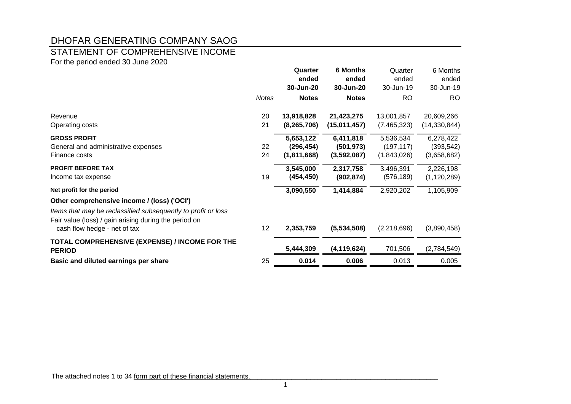#### STATEMENT OF COMPREHENSIVE INCOME

For the period ended 30 June 2020

|                                                                                                                        |              | Quarter<br>ended<br>30-Jun-20 | <b>6 Months</b><br>ended<br>30-Jun-20 | Quarter<br>ended<br>30-Jun-19 | 6 Months<br>ended<br>30-Jun-19 |
|------------------------------------------------------------------------------------------------------------------------|--------------|-------------------------------|---------------------------------------|-------------------------------|--------------------------------|
|                                                                                                                        | <b>Notes</b> | <b>Notes</b>                  | <b>Notes</b>                          | <b>RO</b>                     | <b>RO</b>                      |
| Revenue                                                                                                                | 20           | 13,918,828                    | 21,423,275                            | 13,001,857                    | 20,609,266                     |
| Operating costs                                                                                                        | 21           | (8, 265, 706)                 | (15,011,457)                          | (7,465,323)                   | (14, 330, 844)                 |
| <b>GROSS PROFIT</b>                                                                                                    |              | 5,653,122                     | 6,411,818                             | 5,536,534                     | 6,278,422                      |
| General and administrative expenses                                                                                    | 22           | (296, 454)                    | (501, 973)                            | (197, 117)                    | (393, 542)                     |
| Finance costs                                                                                                          | 24           | (1,811,668)                   | (3,592,087)                           | (1,843,026)                   | (3,658,682)                    |
| <b>PROFIT BEFORE TAX</b>                                                                                               |              | 3,545,000                     | 2,317,758                             | 3,496,391                     | 2,226,198                      |
| Income tax expense                                                                                                     | 19           | (454, 450)                    | (902, 874)                            | (576, 189)                    | (1, 120, 289)                  |
| Net profit for the period                                                                                              |              | 3,090,550                     | 1,414,884                             | 2,920,202                     | 1,105,909                      |
| Other comprehensive income / (loss) ('OCI')                                                                            |              |                               |                                       |                               |                                |
| Items that may be reclassified subsequently to profit or loss<br>Fair value (loss) / gain arising during the period on |              |                               |                                       |                               |                                |
| cash flow hedge - net of tax                                                                                           | 12           | 2,353,759                     | (5,534,508)                           | (2,218,696)                   | (3,890,458)                    |
| TOTAL COMPREHENSIVE (EXPENSE) / INCOME FOR THE<br><b>PERIOD</b>                                                        |              | 5,444,309                     | (4, 119, 624)                         | 701,506                       | (2,784,549)                    |
| Basic and diluted earnings per share                                                                                   | 25           | 0.014                         | 0.006                                 | 0.013                         | 0.005                          |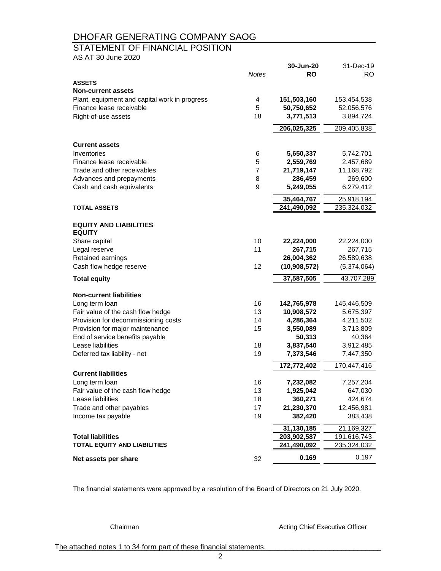#### STATEMENT OF FINANCIAL POSITION

AS AT 30 June 2020

|                                               |              | 30-Jun-20    | 31-Dec-19   |
|-----------------------------------------------|--------------|--------------|-------------|
|                                               | <b>Notes</b> | <b>RO</b>    | <b>RO</b>   |
| <b>ASSETS</b>                                 |              |              |             |
| <b>Non-current assets</b>                     |              |              |             |
| Plant, equipment and capital work in progress | 4            | 151,503,160  | 153,454,538 |
| Finance lease receivable                      | 5            | 50,750,652   | 52,056,576  |
| Right-of-use assets                           | 18           | 3,771,513    | 3,894,724   |
|                                               |              | 206,025,325  | 209,405,838 |
| <b>Current assets</b>                         |              |              |             |
|                                               |              |              |             |
| Inventories<br>Finance lease receivable       | 6            | 5,650,337    | 5,742,701   |
|                                               | 5<br>7       | 2,559,769    | 2,457,689   |
| Trade and other receivables                   |              | 21,719,147   | 11,168,792  |
| Advances and prepayments                      | 8<br>9       | 286,459      | 269,600     |
| Cash and cash equivalents                     |              | 5,249,055    | 6,279,412   |
|                                               |              | 35,464,767   | 25,918,194  |
| <b>TOTAL ASSETS</b>                           |              | 241,490,092  | 235,324,032 |
| <b>EQUITY AND LIABILITIES</b>                 |              |              |             |
| <b>EQUITY</b>                                 |              |              |             |
| Share capital                                 | 10           | 22,224,000   | 22,224,000  |
| Legal reserve                                 | 11           | 267,715      | 267,715     |
| Retained earnings                             |              | 26,004,362   | 26,589,638  |
| Cash flow hedge reserve                       | 12           | (10,908,572) | (5,374,064) |
| <b>Total equity</b>                           |              | 37,587,505   | 43,707,289  |
| <b>Non-current liabilities</b>                |              |              |             |
| Long term loan                                | 16           | 142,765,978  | 145,446,509 |
| Fair value of the cash flow hedge             | 13           | 10,908,572   | 5,675,397   |
| Provision for decommissioning costs           | 14           | 4,286,364    | 4,211,502   |
| Provision for major maintenance               | 15           | 3,550,089    | 3,713,809   |
| End of service benefits payable               |              | 50,313       | 40,364      |
| Lease liabilities                             | 18           | 3,837,540    | 3,912,485   |
| Deferred tax liability - net                  | 19           | 7,373,546    | 7,447,350   |
|                                               |              | 172,772,402  | 170,447,416 |
| <b>Current liabilities</b>                    |              |              |             |
| Long term loan                                | 16           | 7,232,082    | 7,257,204   |
| Fair value of the cash flow hedge             | 13           | 1,925,042    | 647,030     |
| Lease liabilities                             | 18           | 360,271      | 424,674     |
| Trade and other payables                      | 17           | 21,230,370   | 12,456,981  |
| Income tax payable                            | 19           | 382,420      | 383,438     |
|                                               |              | 31,130,185   | 21,169,327  |
| <b>Total liabilities</b>                      |              | 203,902,587  | 191,616,743 |
| <b>TOTAL EQUITY AND LIABILITIES</b>           |              | 241,490,092  | 235,324,032 |
| Net assets per share                          | 32           | 0.169        | 0.197       |

The financial statements were approved by a resolution of the Board of Directors on 21 July 2020.

Chairman **Chairman Acting Chief Executive Officer** 

The attached notes 1 to 34 form part of these financial statements.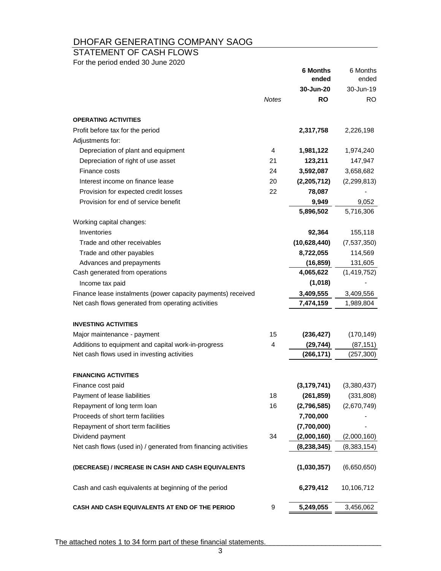# STATEMENT OF CASH FLOWS

For the period ended 30 June 2020

| 30-Jun-20<br>30-Jun-19<br><b>Notes</b><br><b>RO</b><br>RO.<br><b>OPERATING ACTIVITIES</b><br>Profit before tax for the period<br>2,317,758<br>2,226,198<br>Adjustments for:<br>Depreciation of plant and equipment<br>4<br>1,981,122<br>1,974,240<br>Depreciation of right of use asset<br>21<br>123,211<br>147,947<br>Finance costs<br>24<br>3,592,087<br>3,658,682<br>Interest income on finance lease<br>20<br>(2,205,712)<br>(2, 299, 813)<br>Provision for expected credit losses<br>22<br>78,087<br>Provision for end of service benefit<br>9,949<br>9,052<br>5,896,502<br>5,716,306<br>Working capital changes:<br>Inventories<br>92,364<br>155,118<br>Trade and other receivables<br>(10,628,440)<br>(7,537,350)<br>8,722,055<br>Trade and other payables<br>114,569<br>Advances and prepayments<br>(16, 859)<br>131,605<br>4,065,622<br>Cash generated from operations<br>(1,419,752)<br>(1,018)<br>Income tax paid<br>3,409,555<br>Finance lease instalments (power capacity payments) received<br>3,409,556<br>Net cash flows generated from operating activities<br>7,474,159<br>1,989,804<br><b>INVESTING ACTIVITIES</b><br>15<br>(236, 427)<br>(170, 149)<br>Major maintenance - payment<br>Additions to equipment and capital work-in-progress<br>4<br>(87, 151)<br>(29, 744)<br>Net cash flows used in investing activities<br>(266, 171)<br>(257, 300)<br><b>FINANCING ACTIVITIES</b><br>(3, 179, 741)<br>(3,380,437)<br>Finance cost paid<br>Payment of lease liabilities<br>18<br>(331, 808)<br>(261, 859)<br>Repayment of long term loan<br>16<br>(2,796,585)<br>(2,670,749)<br>Proceeds of short term facilities<br>7,700,000<br>Repayment of short term facilities<br>(7,700,000)<br>Dividend payment<br>34<br>(2,000,160)<br>(2,000,160)<br>Net cash flows (used in) / generated from financing activities<br>(8, 238, 345)<br>(8,383,154)<br>(1,030,357)<br>(6,650,650)<br>(DECREASE) / INCREASE IN CASH AND CASH EQUIVALENTS<br>Cash and cash equivalents at beginning of the period<br>6,279,412<br>10,106,712<br>CASH AND CASH EQUIVALENTS AT END OF THE PERIOD<br>9<br>5,249,055<br>3,456,062 |  | <b>6 Months</b><br>ended | 6 Months<br>ended |
|---------------------------------------------------------------------------------------------------------------------------------------------------------------------------------------------------------------------------------------------------------------------------------------------------------------------------------------------------------------------------------------------------------------------------------------------------------------------------------------------------------------------------------------------------------------------------------------------------------------------------------------------------------------------------------------------------------------------------------------------------------------------------------------------------------------------------------------------------------------------------------------------------------------------------------------------------------------------------------------------------------------------------------------------------------------------------------------------------------------------------------------------------------------------------------------------------------------------------------------------------------------------------------------------------------------------------------------------------------------------------------------------------------------------------------------------------------------------------------------------------------------------------------------------------------------------------------------------------------------------------------------------------------------------------------------------------------------------------------------------------------------------------------------------------------------------------------------------------------------------------------------------------------------------------------------------------------------------------------------------------------------------------------------------------------------------------------------------------------------------------|--|--------------------------|-------------------|
|                                                                                                                                                                                                                                                                                                                                                                                                                                                                                                                                                                                                                                                                                                                                                                                                                                                                                                                                                                                                                                                                                                                                                                                                                                                                                                                                                                                                                                                                                                                                                                                                                                                                                                                                                                                                                                                                                                                                                                                                                                                                                                                           |  |                          |                   |
|                                                                                                                                                                                                                                                                                                                                                                                                                                                                                                                                                                                                                                                                                                                                                                                                                                                                                                                                                                                                                                                                                                                                                                                                                                                                                                                                                                                                                                                                                                                                                                                                                                                                                                                                                                                                                                                                                                                                                                                                                                                                                                                           |  |                          |                   |
|                                                                                                                                                                                                                                                                                                                                                                                                                                                                                                                                                                                                                                                                                                                                                                                                                                                                                                                                                                                                                                                                                                                                                                                                                                                                                                                                                                                                                                                                                                                                                                                                                                                                                                                                                                                                                                                                                                                                                                                                                                                                                                                           |  |                          |                   |
|                                                                                                                                                                                                                                                                                                                                                                                                                                                                                                                                                                                                                                                                                                                                                                                                                                                                                                                                                                                                                                                                                                                                                                                                                                                                                                                                                                                                                                                                                                                                                                                                                                                                                                                                                                                                                                                                                                                                                                                                                                                                                                                           |  |                          |                   |
|                                                                                                                                                                                                                                                                                                                                                                                                                                                                                                                                                                                                                                                                                                                                                                                                                                                                                                                                                                                                                                                                                                                                                                                                                                                                                                                                                                                                                                                                                                                                                                                                                                                                                                                                                                                                                                                                                                                                                                                                                                                                                                                           |  |                          |                   |
|                                                                                                                                                                                                                                                                                                                                                                                                                                                                                                                                                                                                                                                                                                                                                                                                                                                                                                                                                                                                                                                                                                                                                                                                                                                                                                                                                                                                                                                                                                                                                                                                                                                                                                                                                                                                                                                                                                                                                                                                                                                                                                                           |  |                          |                   |
|                                                                                                                                                                                                                                                                                                                                                                                                                                                                                                                                                                                                                                                                                                                                                                                                                                                                                                                                                                                                                                                                                                                                                                                                                                                                                                                                                                                                                                                                                                                                                                                                                                                                                                                                                                                                                                                                                                                                                                                                                                                                                                                           |  |                          |                   |
|                                                                                                                                                                                                                                                                                                                                                                                                                                                                                                                                                                                                                                                                                                                                                                                                                                                                                                                                                                                                                                                                                                                                                                                                                                                                                                                                                                                                                                                                                                                                                                                                                                                                                                                                                                                                                                                                                                                                                                                                                                                                                                                           |  |                          |                   |
|                                                                                                                                                                                                                                                                                                                                                                                                                                                                                                                                                                                                                                                                                                                                                                                                                                                                                                                                                                                                                                                                                                                                                                                                                                                                                                                                                                                                                                                                                                                                                                                                                                                                                                                                                                                                                                                                                                                                                                                                                                                                                                                           |  |                          |                   |
|                                                                                                                                                                                                                                                                                                                                                                                                                                                                                                                                                                                                                                                                                                                                                                                                                                                                                                                                                                                                                                                                                                                                                                                                                                                                                                                                                                                                                                                                                                                                                                                                                                                                                                                                                                                                                                                                                                                                                                                                                                                                                                                           |  |                          |                   |
|                                                                                                                                                                                                                                                                                                                                                                                                                                                                                                                                                                                                                                                                                                                                                                                                                                                                                                                                                                                                                                                                                                                                                                                                                                                                                                                                                                                                                                                                                                                                                                                                                                                                                                                                                                                                                                                                                                                                                                                                                                                                                                                           |  |                          |                   |
|                                                                                                                                                                                                                                                                                                                                                                                                                                                                                                                                                                                                                                                                                                                                                                                                                                                                                                                                                                                                                                                                                                                                                                                                                                                                                                                                                                                                                                                                                                                                                                                                                                                                                                                                                                                                                                                                                                                                                                                                                                                                                                                           |  |                          |                   |
|                                                                                                                                                                                                                                                                                                                                                                                                                                                                                                                                                                                                                                                                                                                                                                                                                                                                                                                                                                                                                                                                                                                                                                                                                                                                                                                                                                                                                                                                                                                                                                                                                                                                                                                                                                                                                                                                                                                                                                                                                                                                                                                           |  |                          |                   |
|                                                                                                                                                                                                                                                                                                                                                                                                                                                                                                                                                                                                                                                                                                                                                                                                                                                                                                                                                                                                                                                                                                                                                                                                                                                                                                                                                                                                                                                                                                                                                                                                                                                                                                                                                                                                                                                                                                                                                                                                                                                                                                                           |  |                          |                   |
|                                                                                                                                                                                                                                                                                                                                                                                                                                                                                                                                                                                                                                                                                                                                                                                                                                                                                                                                                                                                                                                                                                                                                                                                                                                                                                                                                                                                                                                                                                                                                                                                                                                                                                                                                                                                                                                                                                                                                                                                                                                                                                                           |  |                          |                   |
|                                                                                                                                                                                                                                                                                                                                                                                                                                                                                                                                                                                                                                                                                                                                                                                                                                                                                                                                                                                                                                                                                                                                                                                                                                                                                                                                                                                                                                                                                                                                                                                                                                                                                                                                                                                                                                                                                                                                                                                                                                                                                                                           |  |                          |                   |
|                                                                                                                                                                                                                                                                                                                                                                                                                                                                                                                                                                                                                                                                                                                                                                                                                                                                                                                                                                                                                                                                                                                                                                                                                                                                                                                                                                                                                                                                                                                                                                                                                                                                                                                                                                                                                                                                                                                                                                                                                                                                                                                           |  |                          |                   |
|                                                                                                                                                                                                                                                                                                                                                                                                                                                                                                                                                                                                                                                                                                                                                                                                                                                                                                                                                                                                                                                                                                                                                                                                                                                                                                                                                                                                                                                                                                                                                                                                                                                                                                                                                                                                                                                                                                                                                                                                                                                                                                                           |  |                          |                   |
|                                                                                                                                                                                                                                                                                                                                                                                                                                                                                                                                                                                                                                                                                                                                                                                                                                                                                                                                                                                                                                                                                                                                                                                                                                                                                                                                                                                                                                                                                                                                                                                                                                                                                                                                                                                                                                                                                                                                                                                                                                                                                                                           |  |                          |                   |
|                                                                                                                                                                                                                                                                                                                                                                                                                                                                                                                                                                                                                                                                                                                                                                                                                                                                                                                                                                                                                                                                                                                                                                                                                                                                                                                                                                                                                                                                                                                                                                                                                                                                                                                                                                                                                                                                                                                                                                                                                                                                                                                           |  |                          |                   |
|                                                                                                                                                                                                                                                                                                                                                                                                                                                                                                                                                                                                                                                                                                                                                                                                                                                                                                                                                                                                                                                                                                                                                                                                                                                                                                                                                                                                                                                                                                                                                                                                                                                                                                                                                                                                                                                                                                                                                                                                                                                                                                                           |  |                          |                   |
|                                                                                                                                                                                                                                                                                                                                                                                                                                                                                                                                                                                                                                                                                                                                                                                                                                                                                                                                                                                                                                                                                                                                                                                                                                                                                                                                                                                                                                                                                                                                                                                                                                                                                                                                                                                                                                                                                                                                                                                                                                                                                                                           |  |                          |                   |
|                                                                                                                                                                                                                                                                                                                                                                                                                                                                                                                                                                                                                                                                                                                                                                                                                                                                                                                                                                                                                                                                                                                                                                                                                                                                                                                                                                                                                                                                                                                                                                                                                                                                                                                                                                                                                                                                                                                                                                                                                                                                                                                           |  |                          |                   |
|                                                                                                                                                                                                                                                                                                                                                                                                                                                                                                                                                                                                                                                                                                                                                                                                                                                                                                                                                                                                                                                                                                                                                                                                                                                                                                                                                                                                                                                                                                                                                                                                                                                                                                                                                                                                                                                                                                                                                                                                                                                                                                                           |  |                          |                   |
|                                                                                                                                                                                                                                                                                                                                                                                                                                                                                                                                                                                                                                                                                                                                                                                                                                                                                                                                                                                                                                                                                                                                                                                                                                                                                                                                                                                                                                                                                                                                                                                                                                                                                                                                                                                                                                                                                                                                                                                                                                                                                                                           |  |                          |                   |
|                                                                                                                                                                                                                                                                                                                                                                                                                                                                                                                                                                                                                                                                                                                                                                                                                                                                                                                                                                                                                                                                                                                                                                                                                                                                                                                                                                                                                                                                                                                                                                                                                                                                                                                                                                                                                                                                                                                                                                                                                                                                                                                           |  |                          |                   |
|                                                                                                                                                                                                                                                                                                                                                                                                                                                                                                                                                                                                                                                                                                                                                                                                                                                                                                                                                                                                                                                                                                                                                                                                                                                                                                                                                                                                                                                                                                                                                                                                                                                                                                                                                                                                                                                                                                                                                                                                                                                                                                                           |  |                          |                   |
|                                                                                                                                                                                                                                                                                                                                                                                                                                                                                                                                                                                                                                                                                                                                                                                                                                                                                                                                                                                                                                                                                                                                                                                                                                                                                                                                                                                                                                                                                                                                                                                                                                                                                                                                                                                                                                                                                                                                                                                                                                                                                                                           |  |                          |                   |
|                                                                                                                                                                                                                                                                                                                                                                                                                                                                                                                                                                                                                                                                                                                                                                                                                                                                                                                                                                                                                                                                                                                                                                                                                                                                                                                                                                                                                                                                                                                                                                                                                                                                                                                                                                                                                                                                                                                                                                                                                                                                                                                           |  |                          |                   |
|                                                                                                                                                                                                                                                                                                                                                                                                                                                                                                                                                                                                                                                                                                                                                                                                                                                                                                                                                                                                                                                                                                                                                                                                                                                                                                                                                                                                                                                                                                                                                                                                                                                                                                                                                                                                                                                                                                                                                                                                                                                                                                                           |  |                          |                   |
|                                                                                                                                                                                                                                                                                                                                                                                                                                                                                                                                                                                                                                                                                                                                                                                                                                                                                                                                                                                                                                                                                                                                                                                                                                                                                                                                                                                                                                                                                                                                                                                                                                                                                                                                                                                                                                                                                                                                                                                                                                                                                                                           |  |                          |                   |
|                                                                                                                                                                                                                                                                                                                                                                                                                                                                                                                                                                                                                                                                                                                                                                                                                                                                                                                                                                                                                                                                                                                                                                                                                                                                                                                                                                                                                                                                                                                                                                                                                                                                                                                                                                                                                                                                                                                                                                                                                                                                                                                           |  |                          |                   |
|                                                                                                                                                                                                                                                                                                                                                                                                                                                                                                                                                                                                                                                                                                                                                                                                                                                                                                                                                                                                                                                                                                                                                                                                                                                                                                                                                                                                                                                                                                                                                                                                                                                                                                                                                                                                                                                                                                                                                                                                                                                                                                                           |  |                          |                   |
|                                                                                                                                                                                                                                                                                                                                                                                                                                                                                                                                                                                                                                                                                                                                                                                                                                                                                                                                                                                                                                                                                                                                                                                                                                                                                                                                                                                                                                                                                                                                                                                                                                                                                                                                                                                                                                                                                                                                                                                                                                                                                                                           |  |                          |                   |
|                                                                                                                                                                                                                                                                                                                                                                                                                                                                                                                                                                                                                                                                                                                                                                                                                                                                                                                                                                                                                                                                                                                                                                                                                                                                                                                                                                                                                                                                                                                                                                                                                                                                                                                                                                                                                                                                                                                                                                                                                                                                                                                           |  |                          |                   |
|                                                                                                                                                                                                                                                                                                                                                                                                                                                                                                                                                                                                                                                                                                                                                                                                                                                                                                                                                                                                                                                                                                                                                                                                                                                                                                                                                                                                                                                                                                                                                                                                                                                                                                                                                                                                                                                                                                                                                                                                                                                                                                                           |  |                          |                   |
|                                                                                                                                                                                                                                                                                                                                                                                                                                                                                                                                                                                                                                                                                                                                                                                                                                                                                                                                                                                                                                                                                                                                                                                                                                                                                                                                                                                                                                                                                                                                                                                                                                                                                                                                                                                                                                                                                                                                                                                                                                                                                                                           |  |                          |                   |
|                                                                                                                                                                                                                                                                                                                                                                                                                                                                                                                                                                                                                                                                                                                                                                                                                                                                                                                                                                                                                                                                                                                                                                                                                                                                                                                                                                                                                                                                                                                                                                                                                                                                                                                                                                                                                                                                                                                                                                                                                                                                                                                           |  |                          |                   |

The attached notes 1 to 34 form part of these financial statements.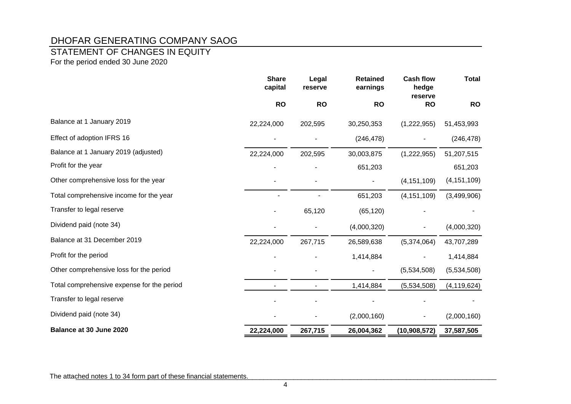# STATEMENT OF CHANGES IN EQUITY

For the period ended 30 June 2020

|                                            | <b>Share</b><br>capital | Legal<br>reserve | <b>Retained</b><br>earnings | <b>Cash flow</b><br>hedge<br>reserve | <b>Total</b>  |
|--------------------------------------------|-------------------------|------------------|-----------------------------|--------------------------------------|---------------|
|                                            | <b>RO</b>               | <b>RO</b>        | <b>RO</b>                   | <b>RO</b>                            | <b>RO</b>     |
| Balance at 1 January 2019                  | 22,224,000              | 202,595          | 30,250,353                  | (1,222,955)                          | 51,453,993    |
| Effect of adoption IFRS 16                 |                         |                  | (246, 478)                  |                                      | (246, 478)    |
| Balance at 1 January 2019 (adjusted)       | 22,224,000              | 202,595          | 30,003,875                  | (1,222,955)                          | 51,207,515    |
| Profit for the year                        |                         |                  | 651,203                     |                                      | 651,203       |
| Other comprehensive loss for the year      |                         |                  |                             | (4, 151, 109)                        | (4, 151, 109) |
| Total comprehensive income for the year    |                         |                  | 651,203                     | (4, 151, 109)                        | (3,499,906)   |
| Transfer to legal reserve                  |                         | 65,120           | (65, 120)                   |                                      |               |
| Dividend paid (note 34)                    |                         |                  | (4,000,320)                 |                                      | (4,000,320)   |
| Balance at 31 December 2019                | 22,224,000              | 267,715          | 26,589,638                  | (5,374,064)                          | 43,707,289    |
| Profit for the period                      |                         |                  | 1,414,884                   |                                      | 1,414,884     |
| Other comprehensive loss for the period    |                         |                  |                             | (5,534,508)                          | (5,534,508)   |
| Total comprehensive expense for the period | ٠                       |                  | 1,414,884                   | (5,534,508)                          | (4, 119, 624) |
| Transfer to legal reserve                  |                         |                  |                             |                                      |               |
| Dividend paid (note 34)                    |                         |                  | (2,000,160)                 |                                      | (2,000,160)   |
| Balance at 30 June 2020                    | 22,224,000              | 267,715          | 26,004,362                  | (10,908,572)                         | 37,587,505    |

The attached notes 1 to 34 form part of these financial statements.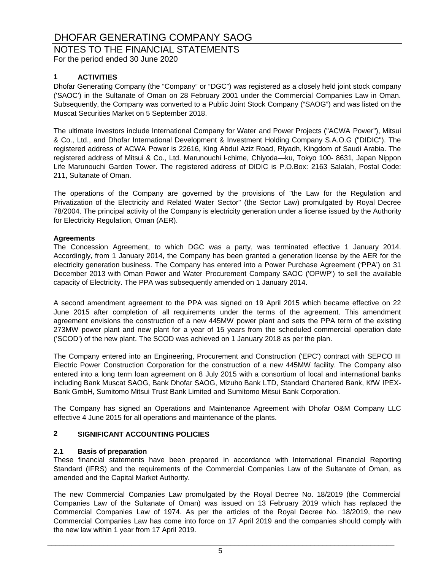# NOTES TO THE FINANCIAL STATEMENTS

For the period ended 30 June 2020

### **1 ACTIVITIES**

Dhofar Generating Company (the "Company" or "DGC") was registered as a closely held joint stock company ('SAOC') in the Sultanate of Oman on 28 February 2001 under the Commercial Companies Law in Oman. Subsequently, the Company was converted to a Public Joint Stock Company ("SAOG") and was listed on the Muscat Securities Market on 5 September 2018.

The ultimate investors include International Company for Water and Power Projects ("ACWA Power"), Mitsui & Co., Ltd., and Dhofar International Development & Investment Holding Company S.A.O.G ("DIDIC"). The registered address of ACWA Power is 22616, King Abdul Aziz Road, Riyadh, Kingdom of Saudi Arabia. The registered address of Mitsui & Co., Ltd. Marunouchi l-chime, Chiyoda—ku, Tokyo 100- 8631, Japan Nippon Life Marunouchi Garden Tower. The registered address of DIDIC is P.O.Box: 2163 Salalah, Postal Code: 211, Sultanate of Oman.

The operations of the Company are governed by the provisions of "the Law for the Regulation and Privatization of the Electricity and Related Water Sector" (the Sector Law) promulgated by Royal Decree 78/2004. The principal activity of the Company is electricity generation under a license issued by the Authority for Electricity Regulation, Oman (AER).

#### **Agreements**

The Concession Agreement, to which DGC was a party, was terminated effective 1 January 2014. Accordingly, from 1 January 2014, the Company has been granted a generation license by the AER for the electricity generation business. The Company has entered into a Power Purchase Agreement ('PPA') on 31 December 2013 with Oman Power and Water Procurement Company SAOC ('OPWP') to sell the available capacity of Electricity. The PPA was subsequently amended on 1 January 2014.

A second amendment agreement to the PPA was signed on 19 April 2015 which became effective on 22 June 2015 after completion of all requirements under the terms of the agreement. This amendment agreement envisions the construction of a new 445MW power plant and sets the PPA term of the existing 273MW power plant and new plant for a year of 15 years from the scheduled commercial operation date ('SCOD') of the new plant. The SCOD was achieved on 1 January 2018 as per the plan.

The Company entered into an Engineering, Procurement and Construction ('EPC') contract with SEPCO III Electric Power Construction Corporation for the construction of a new 445MW facility. The Company also entered into a long term loan agreement on 8 July 2015 with a consortium of local and international banks including Bank Muscat SAOG, Bank Dhofar SAOG, Mizuho Bank LTD, Standard Chartered Bank, KfW IPEX-Bank GmbH, Sumitomo Mitsui Trust Bank Limited and Sumitomo Mitsui Bank Corporation.

The Company has signed an Operations and Maintenance Agreement with Dhofar O&M Company LLC effective 4 June 2015 for all operations and maintenance of the plants.

#### **2 SIGNIFICANT ACCOUNTING POLICIES**

#### **2.1 Basis of preparation**

These financial statements have been prepared in accordance with International Financial Reporting Standard (IFRS) and the requirements of the Commercial Companies Law of the Sultanate of Oman, as amended and the Capital Market Authority.

The new Commercial Companies Law promulgated by the Royal Decree No. 18/2019 (the Commercial Companies Law of the Sultanate of Oman) was issued on 13 February 2019 which has replaced the Commercial Companies Law of 1974. As per the articles of the Royal Decree No. 18/2019, the new Commercial Companies Law has come into force on 17 April 2019 and the companies should comply with the new law within 1 year from 17 April 2019.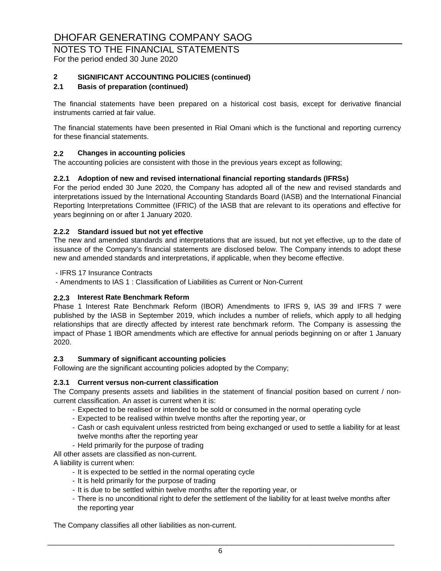# NOTES TO THE FINANCIAL STATEMENTS

For the period ended 30 June 2020

#### **2 SIGNIFICANT ACCOUNTING POLICIES (continued)**

#### **2.1 Basis of preparation (continued)**

The financial statements have been prepared on a historical cost basis, except for derivative financial instruments carried at fair value.

The financial statements have been presented in Rial Omani which is the functional and reporting currency for these financial statements.

#### **2.2 Changes in accounting policies**

The accounting policies are consistent with those in the previous years except as following;

#### **2.2.1 Adoption of new and revised international financial reporting standards (IFRSs)**

For the period ended 30 June 2020, the Company has adopted all of the new and revised standards and interpretations issued by the International Accounting Standards Board (IASB) and the International Financial Reporting Interpretations Committee (IFRIC) of the IASB that are relevant to its operations and effective for years beginning on or after 1 January 2020.

#### **2.2.2 Standard issued but not yet effective**

The new and amended standards and interpretations that are issued, but not yet effective, up to the date of issuance of the Company's financial statements are disclosed below. The Company intends to adopt these new and amended standards and interpretations, if applicable, when they become effective.

- IFRS 17 Insurance Contracts

- Amendments to IAS 1 : Classification of Liabilities as Current or Non-Current

#### **2.2.3 Interest Rate Benchmark Reform**

Phase 1 Interest Rate Benchmark Reform (IBOR) Amendments to IFRS 9, IAS 39 and IFRS 7 were published by the IASB in September 2019, which includes a number of reliefs, which apply to all hedging relationships that are directly affected by interest rate benchmark reform. The Company is assessing the impact of Phase 1 IBOR amendments which are effective for annual periods beginning on or after 1 January 2020.

#### **2.3 Summary of significant accounting policies**

Following are the significant accounting policies adopted by the Company;

#### **2.3.1 Current versus non-current classification**

The Company presents assets and liabilities in the statement of financial position based on current / noncurrent classification. An asset is current when it is:

- Expected to be realised or intended to be sold or consumed in the normal operating cycle
- Expected to be realised within twelve months after the reporting year, or
- Cash or cash equivalent unless restricted from being exchanged or used to settle a liability for at least twelve months after the reporting year
- Held primarily for the purpose of trading

All other assets are classified as non-current.

A liability is current when:

- It is expected to be settled in the normal operating cycle
- It is held primarily for the purpose of trading
- It is due to be settled within twelve months after the reporting year, or
- There is no unconditional right to defer the settlement of the liability for at least twelve months after the reporting year

The Company classifies all other liabilities as non-current.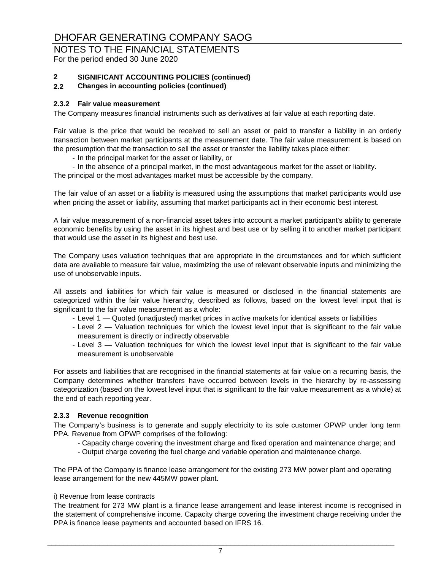# NOTES TO THE FINANCIAL STATEMENTS

For the period ended 30 June 2020

### **2 SIGNIFICANT ACCOUNTING POLICIES (continued)**

#### **2.2 Changes in accounting policies (continued)**

#### **2.3.2 Fair value measurement**

The Company measures financial instruments such as derivatives at fair value at each reporting date.

Fair value is the price that would be received to sell an asset or paid to transfer a liability in an orderly transaction between market participants at the measurement date. The fair value measurement is based on the presumption that the transaction to sell the asset or transfer the liability takes place either:

- In the principal market for the asset or liability, or

- In the absence of a principal market, in the most advantageous market for the asset or liability. The principal or the most advantages market must be accessible by the company.

The fair value of an asset or a liability is measured using the assumptions that market participants would use when pricing the asset or liability, assuming that market participants act in their economic best interest.

A fair value measurement of a non-financial asset takes into account a market participant's ability to generate economic benefits by using the asset in its highest and best use or by selling it to another market participant that would use the asset in its highest and best use.

The Company uses valuation techniques that are appropriate in the circumstances and for which sufficient data are available to measure fair value, maximizing the use of relevant observable inputs and minimizing the use of unobservable inputs.

All assets and liabilities for which fair value is measured or disclosed in the financial statements are categorized within the fair value hierarchy, described as follows, based on the lowest level input that is significant to the fair value measurement as a whole:

- Level 1 Quoted (unadjusted) market prices in active markets for identical assets or liabilities
- Level 2 Valuation techniques for which the lowest level input that is significant to the fair value measurement is directly or indirectly observable
- Level 3 Valuation techniques for which the lowest level input that is significant to the fair value measurement is unobservable

For assets and liabilities that are recognised in the financial statements at fair value on a recurring basis, the Company determines whether transfers have occurred between levels in the hierarchy by re-assessing categorization (based on the lowest level input that is significant to the fair value measurement as a whole) at the end of each reporting year.

#### **2.3.3 Revenue recognition**

The Company's business is to generate and supply electricity to its sole customer OPWP under long term PPA. Revenue from OPWP comprises of the following:

- Capacity charge covering the investment charge and fixed operation and maintenance charge; and
- Output charge covering the fuel charge and variable operation and maintenance charge.

The PPA of the Company is finance lease arrangement for the existing 273 MW power plant and operating lease arrangement for the new 445MW power plant.

#### i) Revenue from lease contracts

The treatment for 273 MW plant is a finance lease arrangement and lease interest income is recognised in the statement of comprehensive income. Capacity charge covering the investment charge receiving under the PPA is finance lease payments and accounted based on IFRS 16.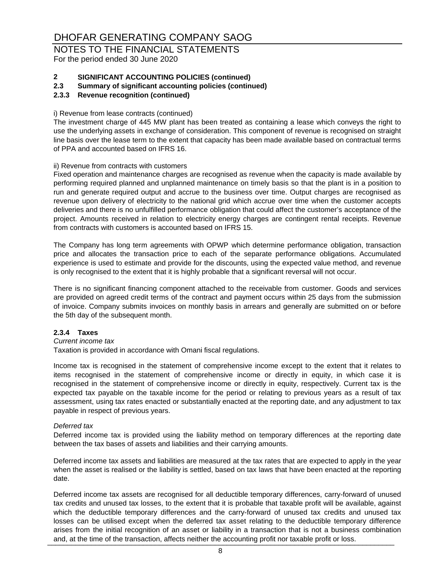# NOTES TO THE FINANCIAL STATEMENTS

For the period ended 30 June 2020

#### **2 SIGNIFICANT ACCOUNTING POLICIES (continued)**

**2.3 Summary of significant accounting policies (continued)**

#### **2.3.3 Revenue recognition (continued)**

#### i) Revenue from lease contracts (continued)

The investment charge of 445 MW plant has been treated as containing a lease which conveys the right to use the underlying assets in exchange of consideration. This component of revenue is recognised on straight line basis over the lease term to the extent that capacity has been made available based on contractual terms of PPA and accounted based on IFRS 16.

#### ii) Revenue from contracts with customers

Fixed operation and maintenance charges are recognised as revenue when the capacity is made available by performing required planned and unplanned maintenance on timely basis so that the plant is in a position to run and generate required output and accrue to the business over time. Output charges are recognised as revenue upon delivery of electricity to the national grid which accrue over time when the customer accepts deliveries and there is no unfulfilled performance obligation that could affect the customer's acceptance of the project. Amounts received in relation to electricity energy charges are contingent rental receipts. Revenue from contracts with customers is accounted based on IFRS 15.

The Company has long term agreements with OPWP which determine performance obligation, transaction price and allocates the transaction price to each of the separate performance obligations. Accumulated experience is used to estimate and provide for the discounts, using the expected value method, and revenue is only recognised to the extent that it is highly probable that a significant reversal will not occur.

There is no significant financing component attached to the receivable from customer. Goods and services are provided on agreed credit terms of the contract and payment occurs within 25 days from the submission of invoice. Company submits invoices on monthly basis in arrears and generally are submitted on or before the 5th day of the subsequent month.

#### **2.3.4 Taxes**

#### *Current income tax*

Taxation is provided in accordance with Omani fiscal regulations.

Income tax is recognised in the statement of comprehensive income except to the extent that it relates to items recognised in the statement of comprehensive income or directly in equity, in which case it is recognised in the statement of comprehensive income or directly in equity, respectively. Current tax is the expected tax payable on the taxable income for the period or relating to previous years as a result of tax assessment, using tax rates enacted or substantially enacted at the reporting date, and any adjustment to tax payable in respect of previous years.

#### *Deferred tax*

Deferred income tax is provided using the liability method on temporary differences at the reporting date between the tax bases of assets and liabilities and their carrying amounts.

Deferred income tax assets and liabilities are measured at the tax rates that are expected to apply in the year when the asset is realised or the liability is settled, based on tax laws that have been enacted at the reporting date.

Deferred income tax assets are recognised for all deductible temporary differences, carry-forward of unused tax credits and unused tax losses, to the extent that it is probable that taxable profit will be available, against which the deductible temporary differences and the carry-forward of unused tax credits and unused tax losses can be utilised except when the deferred tax asset relating to the deductible temporary difference arises from the initial recognition of an asset or liability in a transaction that is not a business combination and, at the time of the transaction, affects neither the accounting profit nor taxable profit or loss.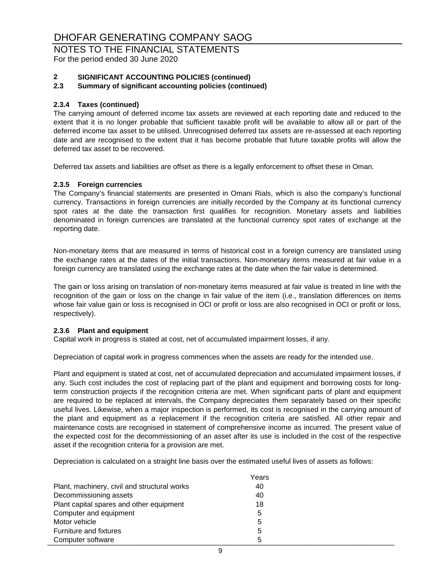# NOTES TO THE FINANCIAL STATEMENTS

For the period ended 30 June 2020

#### **2 SIGNIFICANT ACCOUNTING POLICIES (continued)**

#### **2.3 Summary of significant accounting policies (continued)**

#### **2.3.4 Taxes (continued)**

The carrying amount of deferred income tax assets are reviewed at each reporting date and reduced to the extent that it is no longer probable that sufficient taxable profit will be available to allow all or part of the deferred income tax asset to be utilised. Unrecognised deferred tax assets are re-assessed at each reporting date and are recognised to the extent that it has become probable that future taxable profits will allow the deferred tax asset to be recovered.

Deferred tax assets and liabilities are offset as there is a legally enforcement to offset these in Oman.

#### **2.3.5 Foreign currencies**

The Company's financial statements are presented in Omani Rials, which is also the company's functional currency. Transactions in foreign currencies are initially recorded by the Company at its functional currency spot rates at the date the transaction first qualifies for recognition. Monetary assets and liabilities denominated in foreign currencies are translated at the functional currency spot rates of exchange at the reporting date.

Non-monetary items that are measured in terms of historical cost in a foreign currency are translated using the exchange rates at the dates of the initial transactions. Non-monetary items measured at fair value in a foreign currency are translated using the exchange rates at the date when the fair value is determined.

The gain or loss arising on translation of non-monetary items measured at fair value is treated in line with the recognition of the gain or loss on the change in fair value of the item (i.e., translation differences on items whose fair value gain or loss is recognised in OCI or profit or loss are also recognised in OCI or profit or loss, respectively).

#### **2.3.6 Plant and equipment**

Capital work in progress is stated at cost, net of accumulated impairment losses, if any.

Depreciation of capital work in progress commences when the assets are ready for the intended use.

Plant and equipment is stated at cost, net of accumulated depreciation and accumulated impairment losses, if any. Such cost includes the cost of replacing part of the plant and equipment and borrowing costs for longterm construction projects if the recognition criteria are met. When significant parts of plant and equipment are required to be replaced at intervals, the Company depreciates them separately based on their specific useful lives. Likewise, when a major inspection is performed, its cost is recognised in the carrying amount of the plant and equipment as a replacement if the recognition criteria are satisfied. All other repair and maintenance costs are recognised in statement of comprehensive income as incurred. The present value of the expected cost for the decommissioning of an asset after its use is included in the cost of the respective asset if the recognition criteria for a provision are met.

Depreciation is calculated on a straight line basis over the estimated useful lives of assets as follows:

|                                              | Years |  |
|----------------------------------------------|-------|--|
| Plant, machinery, civil and structural works | 40    |  |
| Decommissioning assets                       | 40    |  |
| Plant capital spares and other equipment     | 18    |  |
| Computer and equipment                       | 5     |  |
| Motor vehicle                                | 5     |  |
| <b>Furniture and fixtures</b>                | 5     |  |
| Computer software                            | 5     |  |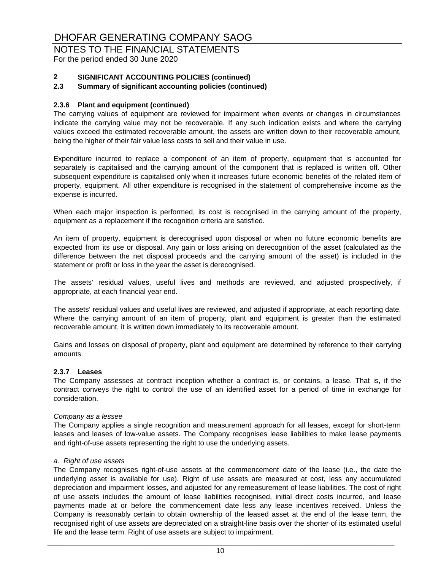# NOTES TO THE FINANCIAL STATEMENTS

For the period ended 30 June 2020

#### **2 SIGNIFICANT ACCOUNTING POLICIES (continued)**

#### **2.3 Summary of significant accounting policies (continued)**

#### **2.3.6 Plant and equipment (continued)**

The carrying values of equipment are reviewed for impairment when events or changes in circumstances indicate the carrying value may not be recoverable. If any such indication exists and where the carrying values exceed the estimated recoverable amount, the assets are written down to their recoverable amount, being the higher of their fair value less costs to sell and their value in use.

Expenditure incurred to replace a component of an item of property, equipment that is accounted for separately is capitalised and the carrying amount of the component that is replaced is written off. Other subsequent expenditure is capitalised only when it increases future economic benefits of the related item of property, equipment. All other expenditure is recognised in the statement of comprehensive income as the expense is incurred.

When each major inspection is performed, its cost is recognised in the carrying amount of the property, equipment as a replacement if the recognition criteria are satisfied.

An item of property, equipment is derecognised upon disposal or when no future economic benefits are expected from its use or disposal. Any gain or loss arising on derecognition of the asset (calculated as the difference between the net disposal proceeds and the carrying amount of the asset) is included in the statement or profit or loss in the year the asset is derecognised.

The assets' residual values, useful lives and methods are reviewed, and adjusted prospectively, if appropriate, at each financial year end.

The assets' residual values and useful lives are reviewed, and adjusted if appropriate, at each reporting date. Where the carrying amount of an item of property, plant and equipment is greater than the estimated recoverable amount, it is written down immediately to its recoverable amount.

Gains and losses on disposal of property, plant and equipment are determined by reference to their carrying amounts.

#### **2.3.7 Leases**

The Company assesses at contract inception whether a contract is, or contains, a lease. That is, if the contract conveys the right to control the use of an identified asset for a period of time in exchange for consideration.

#### *Company as a lessee*

The Company applies a single recognition and measurement approach for all leases, except for short-term leases and leases of low-value assets. The Company recognises lease liabilities to make lease payments and right-of-use assets representing the right to use the underlying assets.

#### *a. Right of use assets*

The Company recognises right-of-use assets at the commencement date of the lease (i.e., the date the underlying asset is available for use). Right of use assets are measured at cost, less any accumulated depreciation and impairment losses, and adjusted for any remeasurement of lease liabilities. The cost of right of use assets includes the amount of lease liabilities recognised, initial direct costs incurred, and lease payments made at or before the commencement date less any lease incentives received. Unless the Company is reasonably certain to obtain ownership of the leased asset at the end of the lease term, the recognised right of use assets are depreciated on a straight-line basis over the shorter of its estimated useful life and the lease term. Right of use assets are subject to impairment.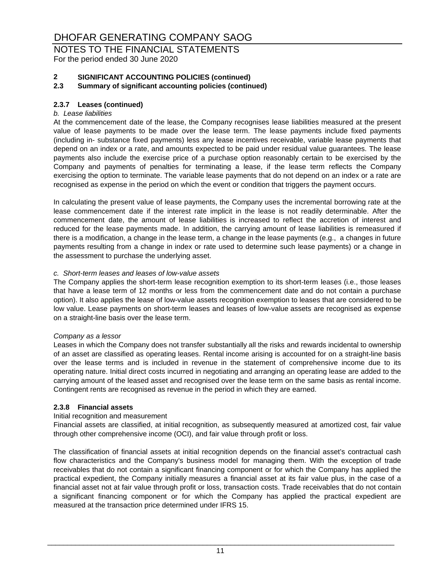# NOTES TO THE FINANCIAL STATEMENTS

For the period ended 30 June 2020

### **2 SIGNIFICANT ACCOUNTING POLICIES (continued)**

#### **2.3 Summary of significant accounting policies (continued)**

#### **2.3.7 Leases (continued)**

#### *b. Lease liabilities*

At the commencement date of the lease, the Company recognises lease liabilities measured at the present value of lease payments to be made over the lease term. The lease payments include fixed payments (including in- substance fixed payments) less any lease incentives receivable, variable lease payments that depend on an index or a rate, and amounts expected to be paid under residual value guarantees. The lease payments also include the exercise price of a purchase option reasonably certain to be exercised by the Company and payments of penalties for terminating a lease, if the lease term reflects the Company exercising the option to terminate. The variable lease payments that do not depend on an index or a rate are recognised as expense in the period on which the event or condition that triggers the payment occurs.

In calculating the present value of lease payments, the Company uses the incremental borrowing rate at the lease commencement date if the interest rate implicit in the lease is not readily determinable. After the commencement date, the amount of lease liabilities is increased to reflect the accretion of interest and reduced for the lease payments made. In addition, the carrying amount of lease liabilities is remeasured if there is a modification, a change in the lease term, a change in the lease payments (e.g., a changes in future payments resulting from a change in index or rate used to determine such lease payments) or a change in the assessment to purchase the underlying asset.

#### *c. Short-term leases and leases of low-value assets*

The Company applies the short-term lease recognition exemption to its short-term leases (i.e., those leases that have a lease term of 12 months or less from the commencement date and do not contain a purchase option). It also applies the lease of low-value assets recognition exemption to leases that are considered to be low value. Lease payments on short-term leases and leases of low-value assets are recognised as expense on a straight-line basis over the lease term.

#### *Company as a lessor*

Leases in which the Company does not transfer substantially all the risks and rewards incidental to ownership of an asset are classified as operating leases. Rental income arising is accounted for on a straight-line basis over the lease terms and is included in revenue in the statement of comprehensive income due to its operating nature. Initial direct costs incurred in negotiating and arranging an operating lease are added to the carrying amount of the leased asset and recognised over the lease term on the same basis as rental income. Contingent rents are recognised as revenue in the period in which they are earned.

#### **2.3.8 Financial assets**

#### Initial recognition and measurement

Financial assets are classified, at initial recognition, as subsequently measured at amortized cost, fair value through other comprehensive income (OCI), and fair value through profit or loss.

The classification of financial assets at initial recognition depends on the financial asset's contractual cash flow characteristics and the Company's business model for managing them. With the exception of trade receivables that do not contain a significant financing component or for which the Company has applied the practical expedient, the Company initially measures a financial asset at its fair value plus, in the case of a financial asset not at fair value through profit or loss, transaction costs. Trade receivables that do not contain a significant financing component or for which the Company has applied the practical expedient are measured at the transaction price determined under IFRS 15.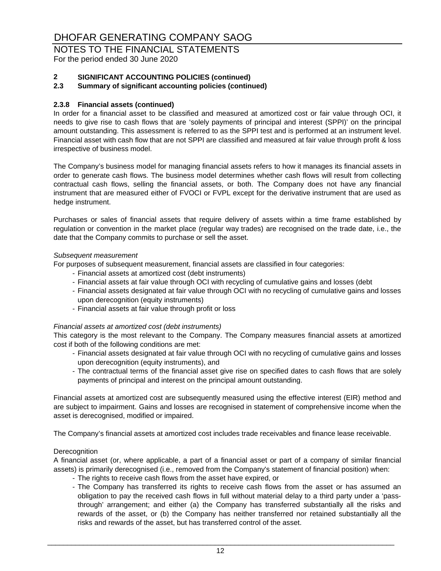# NOTES TO THE FINANCIAL STATEMENTS

For the period ended 30 June 2020

#### **2 SIGNIFICANT ACCOUNTING POLICIES (continued)**

#### **2.3 Summary of significant accounting policies (continued)**

#### **2.3.8 Financial assets (continued)**

In order for a financial asset to be classified and measured at amortized cost or fair value through OCI, it needs to give rise to cash flows that are 'solely payments of principal and interest (SPPI)' on the principal amount outstanding. This assessment is referred to as the SPPI test and is performed at an instrument level. Financial asset with cash flow that are not SPPI are classified and measured at fair value through profit & loss irrespective of business model.

The Company's business model for managing financial assets refers to how it manages its financial assets in order to generate cash flows. The business model determines whether cash flows will result from collecting contractual cash flows, selling the financial assets, or both. The Company does not have any financial instrument that are measured either of FVOCI or FVPL except for the derivative instrument that are used as hedge instrument.

Purchases or sales of financial assets that require delivery of assets within a time frame established by regulation or convention in the market place (regular way trades) are recognised on the trade date, i.e., the date that the Company commits to purchase or sell the asset.

#### *Subsequent measurement*

For purposes of subsequent measurement, financial assets are classified in four categories:

- Financial assets at amortized cost (debt instruments)
- Financial assets at fair value through OCI with recycling of cumulative gains and losses (debt
- Financial assets designated at fair value through OCI with no recycling of cumulative gains and losses upon derecognition (equity instruments)
- Financial assets at fair value through profit or loss

#### *Financial assets at amortized cost (debt instruments)*

This category is the most relevant to the Company. The Company measures financial assets at amortized cost if both of the following conditions are met:

- Financial assets designated at fair value through OCI with no recycling of cumulative gains and losses upon derecognition (equity instruments), and
- The contractual terms of the financial asset give rise on specified dates to cash flows that are solely payments of principal and interest on the principal amount outstanding.

Financial assets at amortized cost are subsequently measured using the effective interest (EIR) method and are subject to impairment. Gains and losses are recognised in statement of comprehensive income when the asset is derecognised, modified or impaired.

The Company's financial assets at amortized cost includes trade receivables and finance lease receivable.

#### **Derecognition**

A financial asset (or, where applicable, a part of a financial asset or part of a company of similar financial assets) is primarily derecognised (i.e., removed from the Company's statement of financial position) when:

- The rights to receive cash flows from the asset have expired, or
- The Company has transferred its rights to receive cash flows from the asset or has assumed an obligation to pay the received cash flows in full without material delay to a third party under a 'passthrough' arrangement; and either (a) the Company has transferred substantially all the risks and rewards of the asset, or (b) the Company has neither transferred nor retained substantially all the risks and rewards of the asset, but has transferred control of the asset.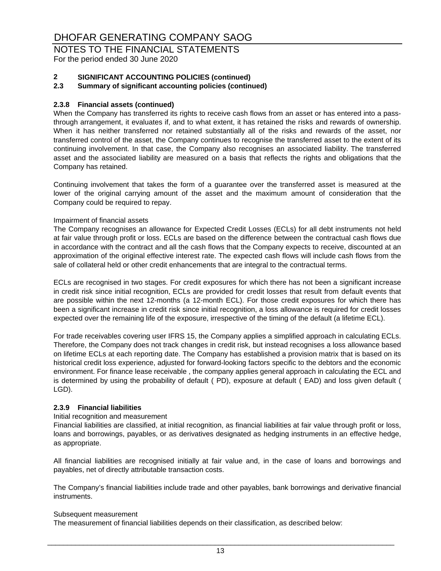# NOTES TO THE FINANCIAL STATEMENTS

For the period ended 30 June 2020

#### **2 SIGNIFICANT ACCOUNTING POLICIES (continued)**

#### **2.3 Summary of significant accounting policies (continued)**

#### **2.3.8 Financial assets (continued)**

When the Company has transferred its rights to receive cash flows from an asset or has entered into a passthrough arrangement, it evaluates if, and to what extent, it has retained the risks and rewards of ownership. When it has neither transferred nor retained substantially all of the risks and rewards of the asset, nor transferred control of the asset, the Company continues to recognise the transferred asset to the extent of its continuing involvement. In that case, the Company also recognises an associated liability. The transferred asset and the associated liability are measured on a basis that reflects the rights and obligations that the Company has retained.

Continuing involvement that takes the form of a guarantee over the transferred asset is measured at the lower of the original carrying amount of the asset and the maximum amount of consideration that the Company could be required to repay.

#### Impairment of financial assets

The Company recognises an allowance for Expected Credit Losses (ECLs) for all debt instruments not held at fair value through profit or loss. ECLs are based on the difference between the contractual cash flows due in accordance with the contract and all the cash flows that the Company expects to receive, discounted at an approximation of the original effective interest rate. The expected cash flows will include cash flows from the sale of collateral held or other credit enhancements that are integral to the contractual terms.

ECLs are recognised in two stages. For credit exposures for which there has not been a significant increase in credit risk since initial recognition, ECLs are provided for credit losses that result from default events that are possible within the next 12-months (a 12-month ECL). For those credit exposures for which there has been a significant increase in credit risk since initial recognition, a loss allowance is required for credit losses expected over the remaining life of the exposure, irrespective of the timing of the default (a lifetime ECL).

For trade receivables covering user IFRS 15, the Company applies a simplified approach in calculating ECLs. Therefore, the Company does not track changes in credit risk, but instead recognises a loss allowance based on lifetime ECLs at each reporting date. The Company has established a provision matrix that is based on its historical credit loss experience, adjusted for forward-looking factors specific to the debtors and the economic environment. For finance lease receivable , the company applies general approach in calculating the ECL and is determined by using the probability of default ( PD), exposure at default ( EAD) and loss given default ( LGD).

#### **2.3.9 Financial liabilities**

#### Initial recognition and measurement

Financial liabilities are classified, at initial recognition, as financial liabilities at fair value through profit or loss, loans and borrowings, payables, or as derivatives designated as hedging instruments in an effective hedge, as appropriate.

All financial liabilities are recognised initially at fair value and, in the case of loans and borrowings and payables, net of directly attributable transaction costs.

The Company's financial liabilities include trade and other payables, bank borrowings and derivative financial instruments.

#### Subsequent measurement

The measurement of financial liabilities depends on their classification, as described below: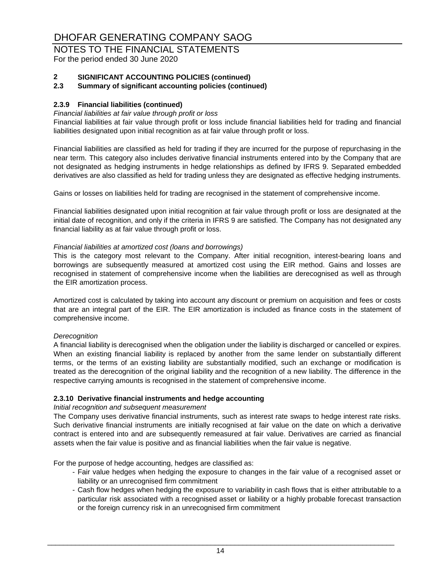# NOTES TO THE FINANCIAL STATEMENTS

For the period ended 30 June 2020

#### **2 SIGNIFICANT ACCOUNTING POLICIES (continued)**

#### **2.3 Summary of significant accounting policies (continued)**

#### **2.3.9 Financial liabilities (continued)**

#### *Financial liabilities at fair value through profit or loss*

Financial liabilities at fair value through profit or loss include financial liabilities held for trading and financial liabilities designated upon initial recognition as at fair value through profit or loss.

Financial liabilities are classified as held for trading if they are incurred for the purpose of repurchasing in the near term. This category also includes derivative financial instruments entered into by the Company that are not designated as hedging instruments in hedge relationships as defined by IFRS 9. Separated embedded derivatives are also classified as held for trading unless they are designated as effective hedging instruments.

Gains or losses on liabilities held for trading are recognised in the statement of comprehensive income.

Financial liabilities designated upon initial recognition at fair value through profit or loss are designated at the initial date of recognition, and only if the criteria in IFRS 9 are satisfied. The Company has not designated any financial liability as at fair value through profit or loss.

#### *Financial liabilities at amortized cost (loans and borrowings)*

This is the category most relevant to the Company. After initial recognition, interest-bearing loans and borrowings are subsequently measured at amortized cost using the EIR method. Gains and losses are recognised in statement of comprehensive income when the liabilities are derecognised as well as through the EIR amortization process.

Amortized cost is calculated by taking into account any discount or premium on acquisition and fees or costs that are an integral part of the EIR. The EIR amortization is included as finance costs in the statement of comprehensive income.

#### *Derecognition*

A financial liability is derecognised when the obligation under the liability is discharged or cancelled or expires. When an existing financial liability is replaced by another from the same lender on substantially different terms, or the terms of an existing liability are substantially modified, such an exchange or modification is treated as the derecognition of the original liability and the recognition of a new liability. The difference in the respective carrying amounts is recognised in the statement of comprehensive income.

#### **2.3.10 Derivative financial instruments and hedge accounting**

#### *Initial recognition and subsequent measurement*

The Company uses derivative financial instruments, such as interest rate swaps to hedge interest rate risks. Such derivative financial instruments are initially recognised at fair value on the date on which a derivative contract is entered into and are subsequently remeasured at fair value. Derivatives are carried as financial assets when the fair value is positive and as financial liabilities when the fair value is negative.

For the purpose of hedge accounting, hedges are classified as:

- Fair value hedges when hedging the exposure to changes in the fair value of a recognised asset or liability or an unrecognised firm commitment
- Cash flow hedges when hedging the exposure to variability in cash flows that is either attributable to a particular risk associated with a recognised asset or liability or a highly probable forecast transaction or the foreign currency risk in an unrecognised firm commitment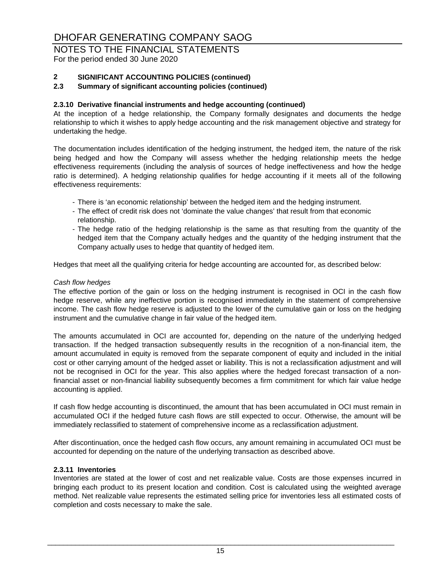# NOTES TO THE FINANCIAL STATEMENTS

For the period ended 30 June 2020

#### **2 SIGNIFICANT ACCOUNTING POLICIES (continued)**

#### **2.3 Summary of significant accounting policies (continued)**

#### **2.3.10 Derivative financial instruments and hedge accounting (continued)**

At the inception of a hedge relationship, the Company formally designates and documents the hedge relationship to which it wishes to apply hedge accounting and the risk management objective and strategy for undertaking the hedge.

The documentation includes identification of the hedging instrument, the hedged item, the nature of the risk being hedged and how the Company will assess whether the hedging relationship meets the hedge effectiveness requirements (including the analysis of sources of hedge ineffectiveness and how the hedge ratio is determined). A hedging relationship qualifies for hedge accounting if it meets all of the following effectiveness requirements:

- There is 'an economic relationship' between the hedged item and the hedging instrument.
- The effect of credit risk does not 'dominate the value changes' that result from that economic relationship.
- The hedge ratio of the hedging relationship is the same as that resulting from the quantity of the hedged item that the Company actually hedges and the quantity of the hedging instrument that the Company actually uses to hedge that quantity of hedged item.

Hedges that meet all the qualifying criteria for hedge accounting are accounted for, as described below:

#### *Cash flow hedges*

The effective portion of the gain or loss on the hedging instrument is recognised in OCI in the cash flow hedge reserve, while any ineffective portion is recognised immediately in the statement of comprehensive income. The cash flow hedge reserve is adjusted to the lower of the cumulative gain or loss on the hedging instrument and the cumulative change in fair value of the hedged item.

The amounts accumulated in OCI are accounted for, depending on the nature of the underlying hedged transaction. If the hedged transaction subsequently results in the recognition of a non-financial item, the amount accumulated in equity is removed from the separate component of equity and included in the initial cost or other carrying amount of the hedged asset or liability. This is not a reclassification adjustment and will not be recognised in OCI for the year. This also applies where the hedged forecast transaction of a nonfinancial asset or non-financial liability subsequently becomes a firm commitment for which fair value hedge accounting is applied.

If cash flow hedge accounting is discontinued, the amount that has been accumulated in OCI must remain in accumulated OCI if the hedged future cash flows are still expected to occur. Otherwise, the amount will be immediately reclassified to statement of comprehensive income as a reclassification adjustment.

After discontinuation, once the hedged cash flow occurs, any amount remaining in accumulated OCI must be accounted for depending on the nature of the underlying transaction as described above.

#### **2.3.11 Inventories**

Inventories are stated at the lower of cost and net realizable value. Costs are those expenses incurred in bringing each product to its present location and condition. Cost is calculated using the weighted average method. Net realizable value represents the estimated selling price for inventories less all estimated costs of completion and costs necessary to make the sale.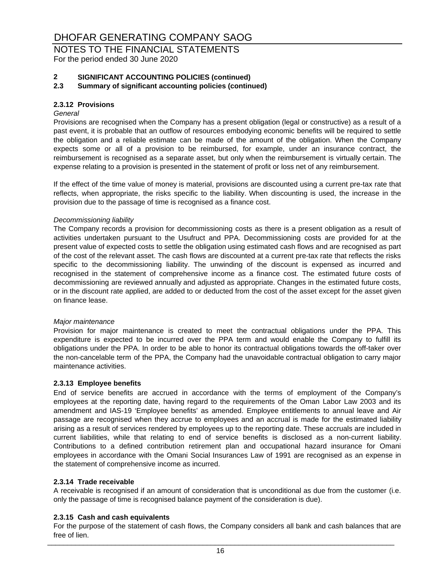# NOTES TO THE FINANCIAL STATEMENTS

For the period ended 30 June 2020

### **2 SIGNIFICANT ACCOUNTING POLICIES (continued)**

#### **2.3 Summary of significant accounting policies (continued)**

#### **2.3.12 Provisions**

#### *General*

Provisions are recognised when the Company has a present obligation (legal or constructive) as a result of a past event, it is probable that an outflow of resources embodying economic benefits will be required to settle the obligation and a reliable estimate can be made of the amount of the obligation. When the Company expects some or all of a provision to be reimbursed, for example, under an insurance contract, the reimbursement is recognised as a separate asset, but only when the reimbursement is virtually certain. The expense relating to a provision is presented in the statement of profit or loss net of any reimbursement.

If the effect of the time value of money is material, provisions are discounted using a current pre-tax rate that reflects, when appropriate, the risks specific to the liability. When discounting is used, the increase in the provision due to the passage of time is recognised as a finance cost.

#### *Decommissioning liability*

The Company records a provision for decommissioning costs as there is a present obligation as a result of activities undertaken pursuant to the Usufruct and PPA. Decommissioning costs are provided for at the present value of expected costs to settle the obligation using estimated cash flows and are recognised as part of the cost of the relevant asset. The cash flows are discounted at a current pre-tax rate that reflects the risks specific to the decommissioning liability. The unwinding of the discount is expensed as incurred and recognised in the statement of comprehensive income as a finance cost. The estimated future costs of decommissioning are reviewed annually and adjusted as appropriate. Changes in the estimated future costs, or in the discount rate applied, are added to or deducted from the cost of the asset except for the asset given on finance lease.

#### *Major maintenance*

Provision for major maintenance is created to meet the contractual obligations under the PPA. This expenditure is expected to be incurred over the PPA term and would enable the Company to fulfill its obligations under the PPA. In order to be able to honor its contractual obligations towards the off-taker over the non-cancelable term of the PPA, the Company had the unavoidable contractual obligation to carry major maintenance activities.

#### **2.3.13 Employee benefits**

End of service benefits are accrued in accordance with the terms of employment of the Company's employees at the reporting date, having regard to the requirements of the Oman Labor Law 2003 and its amendment and IAS-19 'Employee benefits' as amended. Employee entitlements to annual leave and Air passage are recognised when they accrue to employees and an accrual is made for the estimated liability arising as a result of services rendered by employees up to the reporting date. These accruals are included in current liabilities, while that relating to end of service benefits is disclosed as a non-current liability. Contributions to a defined contribution retirement plan and occupational hazard insurance for Omani employees in accordance with the Omani Social Insurances Law of 1991 are recognised as an expense in the statement of comprehensive income as incurred.

#### **2.3.14 Trade receivable**

A receivable is recognised if an amount of consideration that is unconditional as due from the customer (i.e. only the passage of time is recognised balance payment of the consideration is due).

#### **2.3.15 Cash and cash equivalents**

For the purpose of the statement of cash flows, the Company considers all bank and cash balances that are free of lien. \_\_\_\_\_\_\_\_\_\_\_\_\_\_\_\_\_\_\_\_\_\_\_\_\_\_\_\_\_\_\_\_\_\_\_\_\_\_\_\_\_\_\_\_\_\_\_\_\_\_\_\_\_\_\_\_\_\_\_\_\_\_\_\_\_\_\_\_\_\_\_\_\_\_\_\_\_\_\_\_\_\_\_\_\_\_\_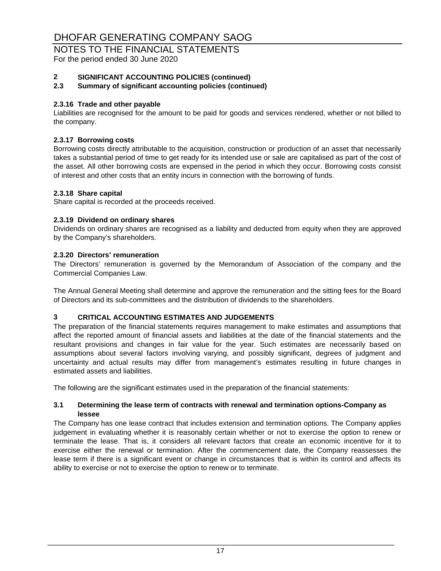### NOTES TO THE FINANCIAL STATEMENTS

For the period ended 30 June 2020

### **2 SIGNIFICANT ACCOUNTING POLICIES (continued)**

### **2.3 Summary of significant accounting policies (continued)**

#### **2.3.16 Trade and other payable**

Liabilities are recognised for the amount to be paid for goods and services rendered, whether or not billed to the company.

#### **2.3.17 Borrowing costs**

Borrowing costs directly attributable to the acquisition, construction or production of an asset that necessarily takes a substantial period of time to get ready for its intended use or sale are capitalised as part of the cost of the asset. All other borrowing costs are expensed in the period in which they occur. Borrowing costs consist of interest and other costs that an entity incurs in connection with the borrowing of funds.

#### **2.3.18 Share capital**

Share capital is recorded at the proceeds received.

#### **2.3.19 Dividend on ordinary shares**

Dividends on ordinary shares are recognised as a liability and deducted from equity when they are approved by the Company's shareholders.

#### **2.3.20 Directors' remuneration**

The Directors' remuneration is governed by the Memorandum of Association of the company and the Commercial Companies Law.

The Annual General Meeting shall determine and approve the remuneration and the sitting fees for the Board of Directors and its sub-committees and the distribution of dividends to the shareholders.

### **3 CRITICAL ACCOUNTING ESTIMATES AND JUDGEMENTS**

The preparation of the financial statements requires management to make estimates and assumptions that affect the reported amount of financial assets and liabilities at the date of the financial statements and the resultant provisions and changes in fair value for the year. Such estimates are necessarily based on assumptions about several factors involving varying, and possibly significant, degrees of judgment and uncertainty and actual results may differ from management's estimates resulting in future changes in estimated assets and liabilities.

The following are the significant estimates used in the preparation of the financial statements:

#### **3.1 Determining the lease term of contracts with renewal and termination options-Company as lessee**

The Company has one lease contract that includes extension and termination options. The Company applies judgement in evaluating whether it is reasonably certain whether or not to exercise the option to renew or terminate the lease. That is, it considers all relevant factors that create an economic incentive for it to exercise either the renewal or termination. After the commencement date, the Company reassesses the lease term if there is a significant event or change in circumstances that is within its control and affects its ability to exercise or not to exercise the option to renew or to terminate.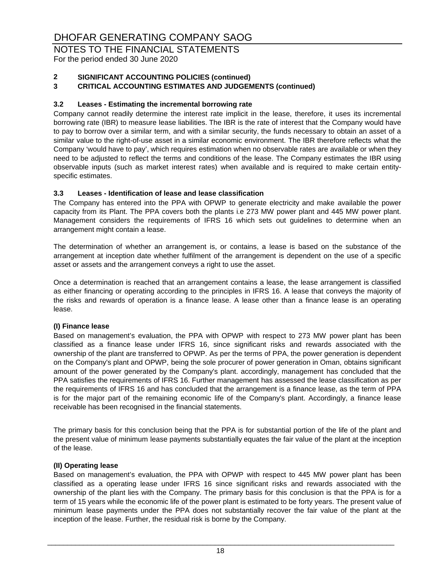# NOTES TO THE FINANCIAL STATEMENTS

For the period ended 30 June 2020

#### **2 SIGNIFICANT ACCOUNTING POLICIES (continued)**

#### **3 CRITICAL ACCOUNTING ESTIMATES AND JUDGEMENTS (continued)**

#### **3.2 Leases - Estimating the incremental borrowing rate**

Company cannot readily determine the interest rate implicit in the lease, therefore, it uses its incremental borrowing rate (IBR) to measure lease liabilities. The IBR is the rate of interest that the Company would have to pay to borrow over a similar term, and with a similar security, the funds necessary to obtain an asset of a similar value to the right-of-use asset in a similar economic environment. The IBR therefore reflects what the Company 'would have to pay', which requires estimation when no observable rates are available or when they need to be adjusted to reflect the terms and conditions of the lease. The Company estimates the IBR using observable inputs (such as market interest rates) when available and is required to make certain entityspecific estimates.

#### **3.3 Leases - Identification of lease and lease classification**

The Company has entered into the PPA with OPWP to generate electricity and make available the power capacity from its Plant. The PPA covers both the plants i.e 273 MW power plant and 445 MW power plant. Management considers the requirements of IFRS 16 which sets out guidelines to determine when an arrangement might contain a lease.

The determination of whether an arrangement is, or contains, a lease is based on the substance of the arrangement at inception date whether fulfilment of the arrangement is dependent on the use of a specific asset or assets and the arrangement conveys a right to use the asset.

Once a determination is reached that an arrangement contains a lease, the lease arrangement is classified as either financing or operating according to the principles in IFRS 16. A lease that conveys the majority of the risks and rewards of operation is a finance lease. A lease other than a finance lease is an operating lease.

#### **(I) Finance lease**

Based on management's evaluation, the PPA with OPWP with respect to 273 MW power plant has been classified as a finance lease under IFRS 16, since significant risks and rewards associated with the ownership of the plant are transferred to OPWP. As per the terms of PPA, the power generation is dependent on the Company's plant and OPWP, being the sole procurer of power generation in Oman, obtains significant amount of the power generated by the Company's plant. accordingly, management has concluded that the PPA satisfies the requirements of IFRS 16. Further management has assessed the lease classification as per the requirements of IFRS 16 and has concluded that the arrangement is a finance lease, as the term of PPA is for the major part of the remaining economic life of the Company's plant. Accordingly, a finance lease receivable has been recognised in the financial statements.

The primary basis for this conclusion being that the PPA is for substantial portion of the life of the plant and the present value of minimum lease payments substantially equates the fair value of the plant at the inception of the lease.

#### **(II) Operating lease**

Based on management's evaluation, the PPA with OPWP with respect to 445 MW power plant has been classified as a operating lease under IFRS 16 since significant risks and rewards associated with the ownership of the plant lies with the Company. The primary basis for this conclusion is that the PPA is for a term of 15 years while the economic life of the power plant is estimated to be forty years. The present value of minimum lease payments under the PPA does not substantially recover the fair value of the plant at the inception of the lease. Further, the residual risk is borne by the Company.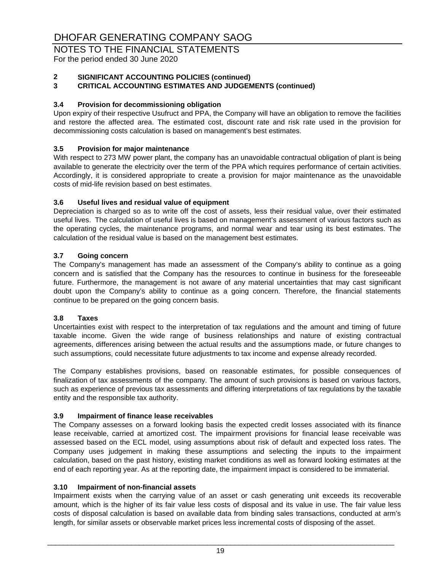# NOTES TO THE FINANCIAL STATEMENTS

For the period ended 30 June 2020

### **2 SIGNIFICANT ACCOUNTING POLICIES (continued)**

#### **3 CRITICAL ACCOUNTING ESTIMATES AND JUDGEMENTS (continued)**

#### **3.4 Provision for decommissioning obligation**

Upon expiry of their respective Usufruct and PPA, the Company will have an obligation to remove the facilities and restore the affected area. The estimated cost, discount rate and risk rate used in the provision for decommissioning costs calculation is based on management's best estimates.

#### **3.5 Provision for major maintenance**

With respect to 273 MW power plant, the company has an unavoidable contractual obligation of plant is being available to generate the electricity over the term of the PPA which requires performance of certain activities. Accordingly, it is considered appropriate to create a provision for major maintenance as the unavoidable costs of mid-life revision based on best estimates.

#### **3.6 Useful lives and residual value of equipment**

Depreciation is charged so as to write off the cost of assets, less their residual value, over their estimated useful lives. The calculation of useful lives is based on management's assessment of various factors such as the operating cycles, the maintenance programs, and normal wear and tear using its best estimates. The calculation of the residual value is based on the management best estimates.

#### **3.7 Going concern**

The Company's management has made an assessment of the Company's ability to continue as a going concern and is satisfied that the Company has the resources to continue in business for the foreseeable future. Furthermore, the management is not aware of any material uncertainties that may cast significant doubt upon the Company's ability to continue as a going concern. Therefore, the financial statements continue to be prepared on the going concern basis.

#### **3.8 Taxes**

Uncertainties exist with respect to the interpretation of tax regulations and the amount and timing of future taxable income. Given the wide range of business relationships and nature of existing contractual agreements, differences arising between the actual results and the assumptions made, or future changes to such assumptions, could necessitate future adjustments to tax income and expense already recorded.

The Company establishes provisions, based on reasonable estimates, for possible consequences of finalization of tax assessments of the company. The amount of such provisions is based on various factors, such as experience of previous tax assessments and differing interpretations of tax regulations by the taxable entity and the responsible tax authority.

#### **3.9 Impairment of finance lease receivables**

The Company assesses on a forward looking basis the expected credit losses associated with its finance lease receivable, carried at amortized cost. The impairment provisions for financial lease receivable was assessed based on the ECL model, using assumptions about risk of default and expected loss rates. The Company uses judgement in making these assumptions and selecting the inputs to the impairment calculation, based on the past history, existing market conditions as well as forward looking estimates at the end of each reporting year. As at the reporting date, the impairment impact is considered to be immaterial.

#### **3.10 Impairment of non-financial assets**

Impairment exists when the carrying value of an asset or cash generating unit exceeds its recoverable amount, which is the higher of its fair value less costs of disposal and its value in use. The fair value less costs of disposal calculation is based on available data from binding sales transactions, conducted at arm's length, for similar assets or observable market prices less incremental costs of disposing of the asset.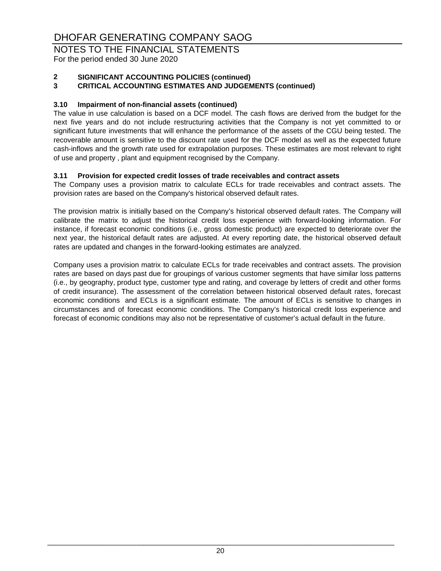# NOTES TO THE FINANCIAL STATEMENTS

For the period ended 30 June 2020

### **2 SIGNIFICANT ACCOUNTING POLICIES (continued)**

#### **3 CRITICAL ACCOUNTING ESTIMATES AND JUDGEMENTS (continued)**

#### **3.10 Impairment of non-financial assets (continued)**

The value in use calculation is based on a DCF model. The cash flows are derived from the budget for the next five years and do not include restructuring activities that the Company is not yet committed to or significant future investments that will enhance the performance of the assets of the CGU being tested. The recoverable amount is sensitive to the discount rate used for the DCF model as well as the expected future cash-inflows and the growth rate used for extrapolation purposes. These estimates are most relevant to right of use and property , plant and equipment recognised by the Company.

#### **3.11 Provision for expected credit losses of trade receivables and contract assets**

The Company uses a provision matrix to calculate ECLs for trade receivables and contract assets. The provision rates are based on the Company's historical observed default rates.

The provision matrix is initially based on the Company's historical observed default rates. The Company will calibrate the matrix to adjust the historical credit loss experience with forward-looking information. For instance, if forecast economic conditions (i.e., gross domestic product) are expected to deteriorate over the next year, the historical default rates are adjusted. At every reporting date, the historical observed default rates are updated and changes in the forward-looking estimates are analyzed.

Company uses a provision matrix to calculate ECLs for trade receivables and contract assets. The provision rates are based on days past due for groupings of various customer segments that have similar loss patterns (i.e., by geography, product type, customer type and rating, and coverage by letters of credit and other forms of credit insurance). The assessment of the correlation between historical observed default rates, forecast economic conditions and ECLs is a significant estimate. The amount of ECLs is sensitive to changes in circumstances and of forecast economic conditions. The Company's historical credit loss experience and forecast of economic conditions may also not be representative of customer's actual default in the future.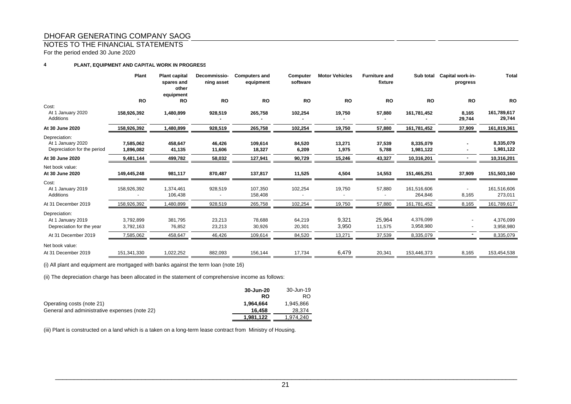#### NOTES TO THE FINANCIAL STATEMENTS

For the period ended 30 June 2020

#### **4PLANT, EQUIPMENT AND CAPITAL WORK IN PROGRESS**

|                                                                   | Plant                  | <b>Plant capital</b><br>spares and<br>other<br>equipment | Decommissio-<br>ning asset | <b>Computers and</b><br>equipment | Computer<br>software | <b>Motor Vehicles</b> | <b>Furniture and</b><br>fixture | Sub total              | Capital work-in-<br>progress | <b>Total</b>           |
|-------------------------------------------------------------------|------------------------|----------------------------------------------------------|----------------------------|-----------------------------------|----------------------|-----------------------|---------------------------------|------------------------|------------------------------|------------------------|
|                                                                   | <b>RO</b>              | <b>RO</b>                                                | <b>RO</b>                  | <b>RO</b>                         | <b>RO</b>            | <b>RO</b>             | <b>RO</b>                       | <b>RO</b>              | <b>RO</b>                    | RO                     |
| Cost:<br>At 1 January 2020<br>Additions                           | 158,926,392            | 1,480,899                                                | 928,519                    | 265,758                           | 102,254              | 19,750                | 57,880                          | 161,781,452            | 8,165<br>29,744              | 161,789,617<br>29,744  |
| At 30 June 2020                                                   | 158,926,392            | 1,480,899                                                | 928,519                    | 265,758                           | 102,254              | 19,750                | 57,880                          | 161,781,452            | 37,909                       | 161,819,361            |
| Depreciation:<br>At 1 January 2020<br>Depreciation for the period | 7,585,062<br>1,896,082 | 458,647<br>41,135                                        | 46,426<br>11,606           | 109,614<br>18,327                 | 84,520<br>6,209      | 13,271<br>1,975       | 37,539<br>5,788                 | 8,335,079<br>1,981,122 |                              | 8,335,079<br>1,981,122 |
| At 30 June 2020                                                   | 9,481,144              | 499,782                                                  | 58,032                     | 127,941                           | 90,729               | 15,246                | 43,327                          | 10,316,201             |                              | 10,316,201             |
| Net book value:<br>At 30 June 2020                                | 149,445,248            | 981,117                                                  | 870,487                    | 137,817                           | 11,525               | 4,504                 | 14,553                          | 151,465,251            | 37,909                       | 151,503,160            |
| Cost:<br>At 1 January 2019<br>Additions                           | 158,926,392            | 1,374,461<br>106,438                                     | 928,519                    | 107,350<br>158,408                | 102,254              | 19,750                | 57,880                          | 161,516,606<br>264,846 | 8,165                        | 161,516,606<br>273,011 |
| At 31 December 2019                                               | 158,926,392            | ,480,899                                                 | 928,519                    | 265,758                           | 102,254              | 19,750                | 57,880                          | 161,781,452            | 8,165                        | 161,789,617            |
| Depreciation:                                                     |                        |                                                          |                            |                                   |                      |                       |                                 |                        |                              |                        |
| At 1 January 2019<br>Depreciation for the year                    | 3,792,899<br>3,792,163 | 381,795<br>76,852                                        | 23,213<br>23,213           | 78,688<br>30,926                  | 64,219<br>20,301     | 9,321<br>3,950        | 25,964<br>11,575                | 4,376,099<br>3,958,980 |                              | 4,376,099<br>3,958,980 |
| At 31 December 2019                                               | 7,585,062              | 458,647                                                  | 46,426                     | 109,614                           | 84,520               | 13,271                | 37,539                          | 8,335,079              |                              | 8,335,079              |
| Net book value:                                                   |                        |                                                          |                            |                                   |                      |                       |                                 |                        |                              |                        |
| At 31 December 2019                                               | 151,341,330            | 1,022,252                                                | 882,093                    | 156,144                           | 17,734               | 6,479                 | 20,341                          | 153,446,373            | 8,165                        | 153,454,538            |

(i) All plant and equipment are mortgaged with banks against the term loan (note 16)

(ii) The depreciation charge has been allocated in the statement of comprehensive income as follows:

|                                               | 30-Jun-20 | 30-Jun-19 |
|-----------------------------------------------|-----------|-----------|
|                                               | RO        | RO.       |
| Operating costs (note 21)                     | 1.964.664 | 1.945.866 |
| General and administrative expenses (note 22) | 16.458    | 28,374    |
|                                               | 1,981,122 | 1.974.240 |

(iii) Plant is constructed on a land which is a taken on a long-term lease contract from Ministry of Housing.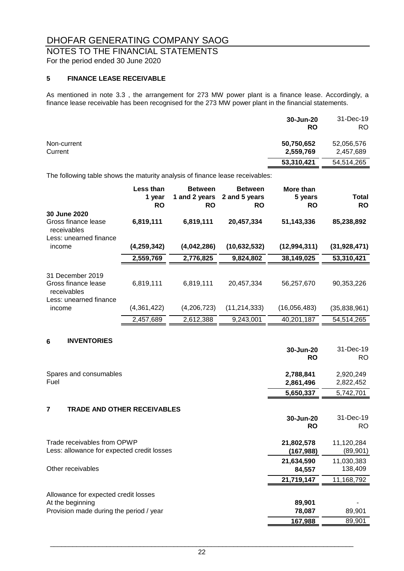# NOTES TO THE FINANCIAL STATEMENTS

For the period ended 30 June 2020

#### **5 FINANCE LEASE RECEIVABLE**

As mentioned in note 3.3 , the arrangement for 273 MW power plant is a finance lease. Accordingly, a finance lease receivable has been recognised for the 273 MW power plant in the financial statements.

|                        | 30-Jun-20<br><b>RO</b>  | 31-Dec-19<br>RO.        |
|------------------------|-------------------------|-------------------------|
| Non-current<br>Current | 50,750,652<br>2,559,769 | 52,056,576<br>2,457,689 |
|                        | 53,310,421              | 54,514,265              |

The following table shows the maturity analysis of finance lease receivables:

|                                                        | Less than<br>1 year<br><b>RO</b> | <b>Between</b><br>1 and 2 years<br><b>RO</b> | <b>Between</b><br>2 and 5 years<br><b>RO</b> | More than<br>5 years<br><b>RO</b> | Total<br><b>RO</b> |
|--------------------------------------------------------|----------------------------------|----------------------------------------------|----------------------------------------------|-----------------------------------|--------------------|
| 30 June 2020<br>Gross finance lease<br>receivables     | 6,819,111                        | 6,819,111                                    | 20,457,334                                   | 51,143,336                        | 85,238,892         |
| Less: unearned finance<br>income                       | (4, 259, 342)                    | (4,042,286)                                  | (10, 632, 532)                               | (12, 994, 311)                    | (31, 928, 471)     |
|                                                        | 2,559,769                        | 2,776,825                                    | 9,824,802                                    | 38,149,025                        | 53,310,421         |
| 31 December 2019<br>Gross finance lease<br>receivables | 6,819,111                        | 6,819,111                                    | 20.457.334                                   | 56,257,670                        | 90.353.226         |
| Less: unearned finance<br>income                       | (4,361,422)                      | (4,206,723)                                  | (11, 214, 333)                               | (16,056,483)                      | (35,838,961)       |
|                                                        | 2,457,689                        | 2,612,388                                    | 9,243,001                                    | 40,201,187                        | 54,514,265         |

#### **6 INVENTORIES**

|                                                      | 30-Jun-20<br><b>RO</b> | 31-Dec-19<br>RO. |
|------------------------------------------------------|------------------------|------------------|
| Spares and consumables                               | 2,788,841              | 2,920,249        |
| Fuel                                                 | 2,861,496              | 2,822,452        |
|                                                      | 5,650,337              | 5,742,701        |
| $\overline{7}$<br><b>TRADE AND OTHER RECEIVABLES</b> |                        |                  |
|                                                      | 30-Jun-20              | 31-Dec-19        |
|                                                      | <b>RO</b>              | RO.              |
| Trade receivables from OPWP                          | 21,802,578             | 11,120,284       |
| Less: allowance for expected credit losses           | (167,988)              | (89, 901)        |
|                                                      | 21,634,590             | 11,030,383       |
| Other receivables                                    | 84,557                 | 138,409          |
|                                                      | 21,719,147             | 11,168,792       |
| Allowance for expected credit losses                 |                        |                  |
| At the beginning                                     | 89,901                 |                  |
| Provision made during the period / year              | 78,087                 | 89,901           |
|                                                      | 167,988                | 89,901           |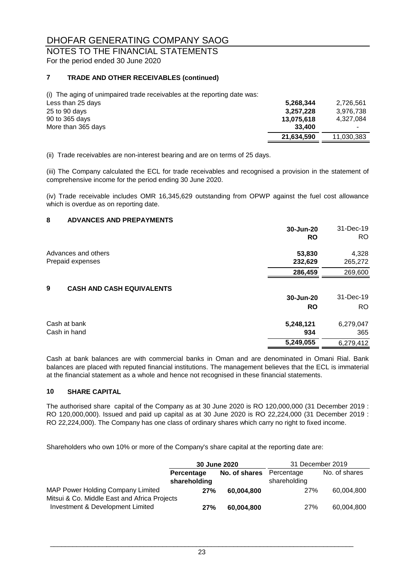# NOTES TO THE FINANCIAL STATEMENTS

For the period ended 30 June 2020

#### **7 TRADE AND OTHER RECEIVABLES (continued)**

(i) The aging of unimpaired trade receivables at the reporting date was:

| Less than 25 days  | 5,268,344  | 2,726,561  |
|--------------------|------------|------------|
| 25 to 90 days      | 3.257.228  | 3.976.738  |
| 90 to 365 days     | 13,075,618 | 4.327.084  |
| More than 365 days | 33.400     |            |
|                    | 21,634,590 | 11,030,383 |
|                    |            |            |

(ii) Trade receivables are non-interest bearing and are on terms of 25 days.

(iii) The Company calculated the ECL for trade receivables and recognised a provision in the statement of comprehensive income for the period ending 30 June 2020.

(iv) Trade receivable includes OMR 16,345,629 outstanding from OPWP against the fuel cost allowance which is overdue as on reporting date.

#### **8 ADVANCES AND PREPAYMENTS**

|                                       | 30-Jun-20<br><b>RO</b> | 31-Dec-19<br>RO. |
|---------------------------------------|------------------------|------------------|
| Advances and others                   | 53,830                 | 4,328            |
| Prepaid expenses                      | 232,629                | 265,272          |
|                                       | 286,459                | 269,600          |
| 9<br><b>CASH AND CASH EQUIVALENTS</b> |                        |                  |
|                                       | 30-Jun-20              | 31-Dec-19        |
|                                       | <b>RO</b>              | RO.              |
| Cash at bank                          | 5,248,121              | 6,279,047        |
| Cash in hand                          | 934                    | 365              |
|                                       | 5,249,055              | 6,279,412        |
|                                       |                        |                  |

Cash at bank balances are with commercial banks in Oman and are denominated in Omani Rial. Bank balances are placed with reputed financial institutions. The management believes that the ECL is immaterial at the financial statement as a whole and hence not recognised in these financial statements.

#### **10 SHARE CAPITAL**

The authorised share capital of the Company as at 30 June 2020 is RO 120,000,000 (31 December 2019 : RO 120,000,000). Issued and paid up capital as at 30 June 2020 is RO 22,224,000 (31 December 2019 : RO 22,224,000). The Company has one class of ordinary shares which carry no right to fixed income.

Shareholders who own 10% or more of the Company's share capital at the reporting date are:

|                                                                                   | 30 June 2020                      |               | 31 December 2019           |               |
|-----------------------------------------------------------------------------------|-----------------------------------|---------------|----------------------------|---------------|
|                                                                                   | <b>Percentage</b><br>shareholding | No. of shares | Percentage<br>shareholding | No. of shares |
| MAP Power Holding Company Limited<br>Mitsui & Co. Middle East and Africa Projects | 27%                               | 60.004.800    | 27%                        | 60.004.800    |
| Investment & Development Limited                                                  | 27%                               | 60,004,800    | 27%                        | 60,004,800    |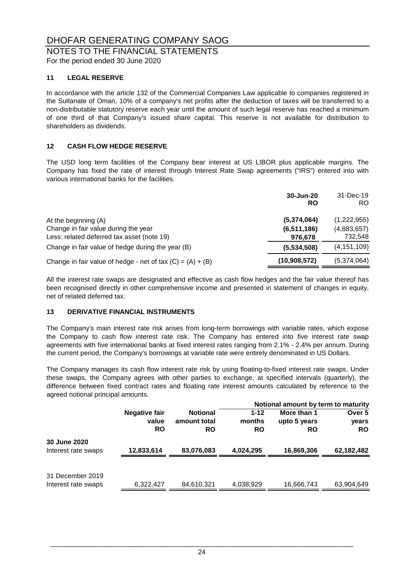### NOTES TO THE FINANCIAL STATEMENTS

For the period ended 30 June 2020

#### **11 LEGAL RESERVE**

In accordance with the article 132 of the Commercial Companies Law applicable to companies registered in the Sultanate of Oman, 10% of a company's net profits after the deduction of taxes will be transferred to a non-distributable statutory reserve each year until the amount of such legal reserve has reached a minimum of one third of that Company's issued share capital. This reserve is not available for distribution to shareholders as dividends.

#### **12 CASH FLOW HEDGE RESERVE**

The USD long term facilities of the Company bear interest at US LIBOR plus applicable margins. The Company has fixed the rate of interest through Interest Rate Swap agreements ("IRS") entered into with various international banks for the facilities.

|                                                              | 30-Jun-20<br>RO | 31-Dec-19<br>RO. |
|--------------------------------------------------------------|-----------------|------------------|
| At the beginning (A)                                         | (5,374,064)     | (1,222,955)      |
| Change in fair value during the year                         | (6, 511, 186)   | (4,883,657)      |
| Less: related deferred tax asset (note 19)                   | 976,678         | 732,548          |
| Change in fair value of hedge during the year (B)            | (5,534,508)     | (4, 151, 109)    |
| Change in fair value of hedge - net of tax $(C) = (A) + (B)$ | (10,908,572)    | (5,374,064)      |

All the interest rate swaps are designated and effective as cash flow hedges and the fair value thereof has been recognised directly in other comprehensive income and presented in statement of changes in equity, net of related deferred tax.

#### **13 DERIVATIVE FINANCIAL INSTRUMENTS**

The Company's main interest rate risk arises from long-term borrowings with variable rates, which expose the Company to cash flow interest rate risk. The Company has entered into five interest rate swap agreements with five international banks at fixed interest rates ranging from 2.1% - 2.4% per annum. During the current period, the Company's borrowings at variable rate were entirely denominated in US Dollars.

The Company manages its cash flow interest rate risk by using floating-to-fixed interest rate swaps. Under these swaps, the Company agrees with other parties to exchange, at specified intervals (quarterly), the difference between fixed contract rates and floating rate interest amounts calculated by reference to the agreed notional principal amounts.

|                                     |                      |                 |           | Notional amount by term to maturity |            |
|-------------------------------------|----------------------|-----------------|-----------|-------------------------------------|------------|
|                                     | <b>Negative fair</b> | <b>Notional</b> | $1 - 12$  | More than 1                         | Over 5     |
|                                     | value                | amount total    | months    | upto 5 years                        | years      |
|                                     | <b>RO</b>            | <b>RO</b>       | <b>RO</b> | <b>RO</b>                           | <b>RO</b>  |
| 30 June 2020<br>Interest rate swaps | 12,833,614           | 83,076,083      | 4,024,295 | 16,869,306                          | 62,182,482 |
|                                     |                      |                 |           |                                     |            |
| 31 December 2019                    |                      |                 |           |                                     |            |
| Interest rate swaps                 | 6,322,427            | 84,610,321      | 4,038,929 | 16,666,743                          | 63,904,649 |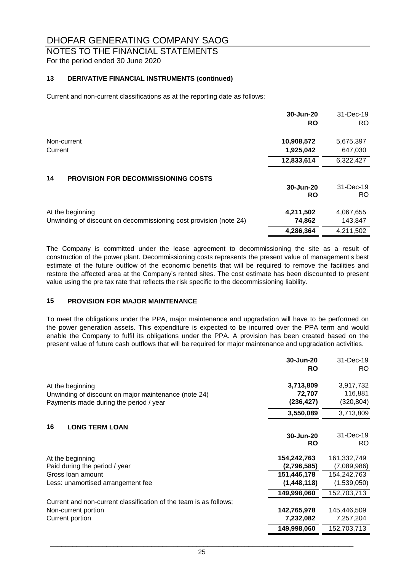### NOTES TO THE FINANCIAL STATEMENTS

For the period ended 30 June 2020

#### **13 DERIVATIVE FINANCIAL INSTRUMENTS (continued)**

Current and non-current classifications as at the reporting date as follows;

|                                                                   | 30-Jun-20<br><b>RO</b> | 31-Dec-19<br>RO. |
|-------------------------------------------------------------------|------------------------|------------------|
| Non-current                                                       | 10,908,572             | 5,675,397        |
| Current                                                           | 1,925,042              | 647,030          |
|                                                                   | 12,833,614             | 6,322,427        |
| 14<br><b>PROVISION FOR DECOMMISSIONING COSTS</b>                  |                        |                  |
|                                                                   | 30-Jun-20              | 31-Dec-19        |
|                                                                   | <b>RO</b>              | RO.              |
| At the beginning                                                  | 4,211,502              | 4,067,655        |
| Unwinding of discount on decommissioning cost provision (note 24) | 74,862                 | 143,847          |
|                                                                   | 4,286,364              | 4,211,502        |

The Company is committed under the lease agreement to decommissioning the site as a result of construction of the power plant. Decommissioning costs represents the present value of management's best estimate of the future outflow of the economic benefits that will be required to remove the facilities and restore the affected area at the Company's rented sites. The cost estimate has been discounted to present value using the pre tax rate that reflects the risk specific to the decommissioning liability.

#### **15 PROVISION FOR MAJOR MAINTENANCE**

To meet the obligations under the PPA, major maintenance and upgradation will have to be performed on the power generation assets. This expenditure is expected to be incurred over the PPA term and would enable the Company to fulfil its obligations under the PPA. A provision has been created based on the present value of future cash outflows that will be required for major maintenance and upgradation activities.

|                                                                   | 30-Jun-20   | 31-Dec-19   |
|-------------------------------------------------------------------|-------------|-------------|
|                                                                   | <b>RO</b>   | RO.         |
| At the beginning                                                  | 3,713,809   | 3,917,732   |
| Unwinding of discount on major maintenance (note 24)              | 72,707      | 116,881     |
| Payments made during the period / year                            | (236, 427)  | (320, 804)  |
|                                                                   | 3,550,089   | 3,713,809   |
| 16<br><b>LONG TERM LOAN</b>                                       |             |             |
|                                                                   | 30-Jun-20   | 31-Dec-19   |
|                                                                   | <b>RO</b>   | RO.         |
| At the beginning                                                  | 154,242,763 | 161,332,749 |
| Paid during the period / year                                     | (2,796,585) | (7,089,986) |
| Gross Ioan amount                                                 | 151,446,178 | 154,242,763 |
| Less: unamortised arrangement fee                                 | (1,448,118) | (1,539,050) |
|                                                                   | 149,998,060 | 152,703,713 |
| Current and non-current classification of the team is as follows; |             |             |
| Non-current portion                                               | 142,765,978 | 145,446,509 |
| Current portion                                                   | 7,232,082   | 7,257,204   |
|                                                                   | 149,998,060 | 152,703,713 |
|                                                                   |             |             |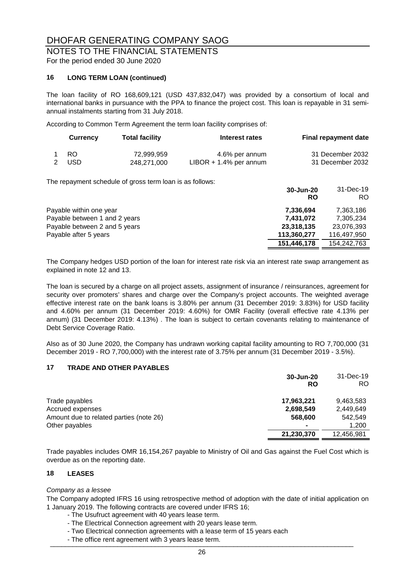# NOTES TO THE FINANCIAL STATEMENTS

For the period ended 30 June 2020

#### **16 LONG TERM LOAN (continued)**

The loan facility of RO 168,609,121 (USD 437,832,047) was provided by a consortium of local and international banks in pursuance with the PPA to finance the project cost. This loan is repayable in 31 semiannual instalments starting from 31 July 2018.

According to Common Term Agreement the term loan facility comprises of:

| <b>Currency</b> | <b>Total facility</b> | Interest rates            | <b>Final repayment date</b> |
|-----------------|-----------------------|---------------------------|-----------------------------|
| -RO             | 72,999,959            | 4.6% per annum            | 31 December 2032            |
| USD.            | 248.271.000           | $LIBOR + 1.4\%$ per annum | 31 December 2032            |

The repayment schedule of gross term loan is as follows:

|                               | 30-Jun-20<br>RO | 31-Dec-19<br>RO. |
|-------------------------------|-----------------|------------------|
| Payable within one year       | 7,336,694       | 7,363,186        |
| Payable between 1 and 2 years | 7,431,072       | 7,305,234        |
| Payable between 2 and 5 years | 23,318,135      | 23,076,393       |
| Payable after 5 years         | 113,360,277     | 116,497,950      |
|                               | 151,446,178     | 154,242,763      |

The Company hedges USD portion of the loan for interest rate risk via an interest rate swap arrangement as explained in note 12 and 13.

The loan is secured by a charge on all project assets, assignment of insurance / reinsurances, agreement for security over promoters' shares and charge over the Company's project accounts. The weighted average effective interest rate on the bank loans is 3.80% per annum (31 December 2019: 3.83%) for USD facility and 4.60% per annum (31 December 2019: 4.60%) for OMR Facility (overall effective rate 4.13% per annum) (31 December 2019: 4.13%) . The loan is subject to certain covenants relating to maintenance of Debt Service Coverage Ratio.

Also as of 30 June 2020, the Company has undrawn working capital facility amounting to RO 7,700,000 (31 December 2019 - RO 7,700,000) with the interest rate of 3.75% per annum (31 December 2019 - 3.5%).

#### **17 TRADE AND OTHER PAYABLES**

|                                         | 30-Jun-20<br>RO | 31-Dec-19<br>RO. |
|-----------------------------------------|-----------------|------------------|
| Trade payables                          | 17,963,221      | 9,463,583        |
| Accrued expenses                        | 2,698,549       | 2,449,649        |
| Amount due to related parties (note 26) | 568,600         | 542,549          |
| Other payables                          | $\blacksquare$  | 1,200            |
|                                         | 21,230,370      | 12,456,981       |

Trade payables includes OMR 16,154,267 payable to Ministry of Oil and Gas against the Fuel Cost which is overdue as on the reporting date.

#### **18 LEASES**

#### *Company as a lessee*

The Company adopted IFRS 16 using retrospective method of adoption with the date of initial application on 1 January 2019. The following contracts are covered under IFRS 16;

- The Usufruct agreement with 40 years lease term.
- The Electrical Connection agreement with 20 years lease term.
- Two Electrical connection agreements with a lease term of 15 years each
- The office rent agreement with 3 years lease term.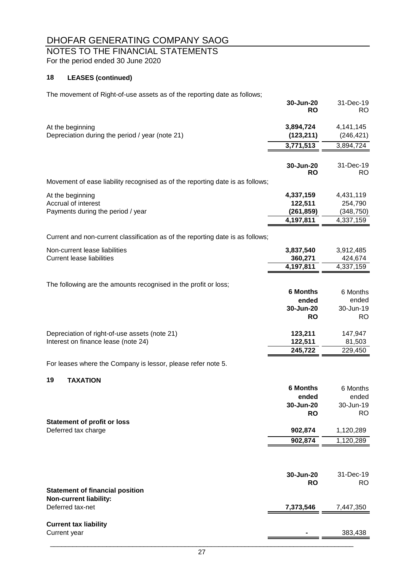# NOTES TO THE FINANCIAL STATEMENTS

For the period ended 30 June 2020

### **18 LEASES (continued)**

The movement of Right-of-use assets as of the reporting date as follows;

|                                                                                      | 30-Jun-20<br><b>RO</b>                | 31-Dec-19<br>RO.                   |
|--------------------------------------------------------------------------------------|---------------------------------------|------------------------------------|
| At the beginning<br>Depreciation during the period / year (note 21)                  | 3,894,724<br>(123, 211)               | 4, 141, 145<br>(246, 421)          |
|                                                                                      | 3,771,513                             | 3,894,724                          |
|                                                                                      | 30-Jun-20<br><b>RO</b>                | 31-Dec-19<br><b>RO</b>             |
| Movement of ease liability recognised as of the reporting date is as follows;        |                                       |                                    |
| At the beginning<br>Accrual of interest<br>Payments during the period / year         | 4,337,159<br>122,511<br>(261, 859)    | 4,431,119<br>254,790<br>(348, 750) |
|                                                                                      | 4,197,811                             | 4,337,159                          |
| Current and non-current classification as of the reporting date is as follows;       |                                       |                                    |
| Non-current lease liabilities<br><b>Current lease liabilities</b>                    | 3,837,540<br>360,271                  | 3,912,485<br>424,674               |
|                                                                                      | 4,197,811                             | 4,337,159                          |
| The following are the amounts recognised in the profit or loss;                      | <b>6 Months</b>                       | 6 Months                           |
|                                                                                      | ended<br>30-Jun-20<br><b>RO</b>       | ended<br>30-Jun-19<br><b>RO</b>    |
| Depreciation of right-of-use assets (note 21)<br>Interest on finance lease (note 24) | 123,211<br>122,511                    | 147,947<br>81,503                  |
|                                                                                      | 245,722                               | 229,450                            |
| For leases where the Company is lessor, please refer note 5.                         |                                       |                                    |
| <b>TAXATION</b><br>19                                                                | <b>6 Months</b><br>ended<br>30-Jun-20 | 6 Months<br>ended<br>30-Jun-19     |
|                                                                                      | <b>RO</b>                             | RO                                 |
| <b>Statement of profit or loss</b><br>Deferred tax charge                            | 902,874                               | 1,120,289                          |
|                                                                                      | 902,874                               | 1,120,289                          |
|                                                                                      |                                       |                                    |
|                                                                                      | 30-Jun-20<br><b>RO</b>                | 31-Dec-19<br>RO.                   |
| <b>Statement of financial position</b><br><b>Non-current liability:</b>              |                                       |                                    |
| Deferred tax-net                                                                     | 7,373,546                             | 7,447,350                          |
| <b>Current tax liability</b><br>Current year                                         |                                       | 383,438                            |
|                                                                                      |                                       |                                    |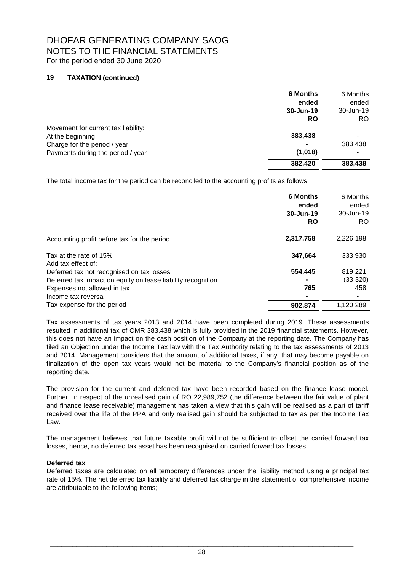# NOTES TO THE FINANCIAL STATEMENTS

For the period ended 30 June 2020

#### **19 TAXATION (continued)**

|                                     | <b>6 Months</b> | 6 Months  |
|-------------------------------------|-----------------|-----------|
|                                     | ended           | ended     |
|                                     | 30-Jun-19       | 30-Jun-19 |
|                                     | <b>RO</b>       | RO.       |
| Movement for current tax liability: |                 |           |
| At the beginning                    | 383,438         |           |
| Charge for the period / year        |                 | 383,438   |
| Payments during the period / year   | (1,018)         |           |
|                                     | 382,420         | 383,438   |

The total income tax for the period can be reconciled to the accounting profits as follows;

|                                                              | <b>6 Months</b><br>ended<br>30-Jun-19<br><b>RO</b> | 6 Months<br>ended<br>30-Jun-19<br>RO. |
|--------------------------------------------------------------|----------------------------------------------------|---------------------------------------|
| Accounting profit before tax for the period                  | 2,317,758                                          | 2,226,198                             |
| Tax at the rate of 15%<br>Add tax effect of:                 | 347.664                                            | 333,930                               |
| Deferred tax not recognised on tax losses                    | 554,445                                            | 819,221                               |
| Deferred tax impact on equity on lease liability recognition |                                                    | (33, 320)                             |
| Expenses not allowed in tax                                  | 765                                                | 458                                   |
| Income tax reversal                                          |                                                    |                                       |
| Tax expense for the period                                   | 902,874                                            | 1,120,289                             |

Tax assessments of tax years 2013 and 2014 have been completed during 2019. These assessments resulted in additional tax of OMR 383,438 which is fully provided in the 2019 financial statements. However, this does not have an impact on the cash position of the Company at the reporting date. The Company has filed an Objection under the Income Tax law with the Tax Authority relating to the tax assessments of 2013 and 2014. Management considers that the amount of additional taxes, if any, that may become payable on finalization of the open tax years would not be material to the Company's financial position as of the reporting date.

The provision for the current and deferred tax have been recorded based on the finance lease model. Further, in respect of the unrealised gain of RO 22,989,752 (the difference between the fair value of plant and finance lease receivable) management has taken a view that this gain will be realised as a part of tariff received over the life of the PPA and only realised gain should be subjected to tax as per the Income Tax Law.

The management believes that future taxable profit will not be sufficient to offset the carried forward tax losses, hence, no deferred tax asset has been recognised on carried forward tax losses.

#### **Deferred tax**

Deferred taxes are calculated on all temporary differences under the liability method using a principal tax rate of 15%. The net deferred tax liability and deferred tax charge in the statement of comprehensive income are attributable to the following items;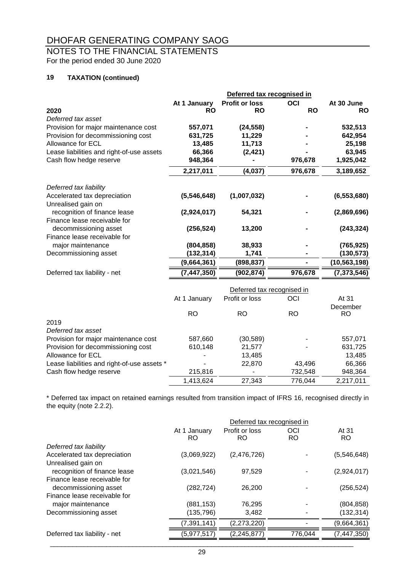# NOTES TO THE FINANCIAL STATEMENTS

For the period ended 30 June 2020

#### **19 TAXATION (continued)**

|                                             |               | Deferred tax recognised in |            |               |
|---------------------------------------------|---------------|----------------------------|------------|---------------|
|                                             | At 1 January  | <b>Profit or loss</b>      | OCI        | At 30 June    |
| 2020                                        | <b>RO</b>     | RO                         | <b>RO</b>  | <b>RO</b>     |
| Deferred tax asset                          |               |                            |            |               |
| Provision for major maintenance cost        | 557,071       | (24, 558)                  |            | 532,513       |
| Provision for decommissioning cost          | 631,725       | 11,229                     |            | 642,954       |
| Allowance for ECL                           | 13,485        | 11,713                     |            | 25,198        |
| Lease liabilities and right-of-use assets   | 66,366        | (2, 421)                   |            | 63,945        |
| Cash flow hedge reserve                     | 948,364       |                            | 976,678    | 1,925,042     |
|                                             | 2,217,011     | (4,037)                    | 976,678    | 3,189,652     |
|                                             |               |                            |            |               |
| Deferred tax liability                      |               |                            |            |               |
| Accelerated tax depreciation                | (5,546,648)   | (1,007,032)                |            | (6, 553, 680) |
| Unrealised gain on                          |               |                            |            |               |
| recognition of finance lease                | (2,924,017)   | 54,321                     |            | (2,869,696)   |
| Finance lease receivable for                |               |                            |            |               |
| decommissioning asset                       | (256, 524)    | 13,200                     |            | (243, 324)    |
| Finance lease receivable for                |               |                            |            |               |
| major maintenance                           | (804, 858)    | 38,933                     |            | (765, 925)    |
| Decommissioning asset                       | (132, 314)    | 1,741                      |            | (130, 573)    |
|                                             | (9,664,361)   | (898, 837)                 |            | (10,563,198)  |
| Deferred tax liability - net                | (7, 447, 350) | (902, 874)                 | 976,678    | (7, 373, 546) |
|                                             |               | Deferred tax recognised in |            |               |
|                                             | At 1 January  | Profit or loss             | <b>OCI</b> | At 31         |
|                                             |               |                            |            | December      |
|                                             | <b>RO</b>     | <b>RO</b>                  | <b>RO</b>  | <b>RO</b>     |
| 2019                                        |               |                            |            |               |
| Deferred tax asset                          |               |                            |            |               |
| Provision for major maintenance cost        | 587,660       | (30, 589)                  |            | 557,071       |
| Provision for decommissioning cost          | 610,148       | 21,577                     |            | 631,725       |
| Allowance for ECL                           |               | 13,485                     |            | 13,485        |
| Lease liabilities and right-of-use assets * |               | 22,870                     | 43,496     | 66,366        |
| Cash flow hedge reserve                     | 215,816       |                            | 732,548    | 948,364       |

\* Deferred tax impact on retained earnings resulted from transition impact of IFRS 16, recognised directly in the equity (note 2.2.2).

1,413,624 27,343 776,044 2,217,011

|                              |               | Deferred tax recognised in |           |               |
|------------------------------|---------------|----------------------------|-----------|---------------|
|                              | At 1 January  | Profit or loss             | OCI       | At 31         |
|                              | <b>RO</b>     | RO                         | <b>RO</b> | <b>RO</b>     |
| Deferred tax liability       |               |                            |           |               |
| Accelerated tax depreciation | (3,069,922)   | (2,476,726)                |           | (5,546,648)   |
| Unrealised gain on           |               |                            |           |               |
| recognition of finance lease | (3,021,546)   | 97,529                     |           | (2,924,017)   |
| Finance lease receivable for |               |                            |           |               |
| decommissioning asset        | (282, 724)    | 26,200                     |           | (256, 524)    |
| Finance lease receivable for |               |                            |           |               |
| major maintenance            | (881, 153)    | 76,295                     |           | (804, 858)    |
| Decommissioning asset        | (135,796)     | 3,482                      |           | (132, 314)    |
|                              | (7, 391, 141) | (2,273,220)                |           | (9,664,361)   |
| Deferred tax liability - net | (5,977,517)   | (2, 245, 877)              | 776,044   | (7, 447, 350) |
|                              |               |                            |           |               |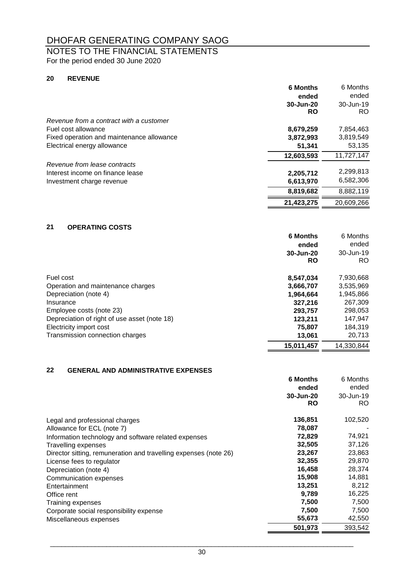# NOTES TO THE FINANCIAL STATEMENTS

For the period ended 30 June 2020

#### **20 REVENUE**

|                                           | <b>6 Months</b> | 6 Months   |
|-------------------------------------------|-----------------|------------|
|                                           | ended           | ended      |
|                                           | 30-Jun-20       | 30-Jun-19  |
|                                           | <b>RO</b>       | RO.        |
| Revenue from a contract with a customer   |                 |            |
| Fuel cost allowance                       | 8,679,259       | 7,854,463  |
| Fixed operation and maintenance allowance | 3,872,993       | 3,819,549  |
| Electrical energy allowance               | 51,341          | 53,135     |
|                                           | 12,603,593      | 11,727,147 |
| Revenue from lease contracts              |                 |            |
| Interest income on finance lease          | 2,205,712       | 2,299,813  |
| Investment charge revenue                 | 6,613,970       | 6,582,306  |
|                                           | 8,819,682       | 8,882,119  |
|                                           | 21,423,275      | 20.609.266 |

#### **21 OPERATING COSTS**

|                                              | <b>6 Months</b> | 6 Months   |
|----------------------------------------------|-----------------|------------|
|                                              | ended           | ended      |
|                                              | 30-Jun-20       | 30-Jun-19  |
|                                              | <b>RO</b>       | RO.        |
| Fuel cost                                    | 8,547,034       | 7,930,668  |
| Operation and maintenance charges            | 3,666,707       | 3,535,969  |
| Depreciation (note 4)                        | 1.964.664       | 1,945,866  |
| Insurance                                    | 327,216         | 267,309    |
| Employee costs (note 23)                     | 293.757         | 298,053    |
| Depreciation of right of use asset (note 18) | 123.211         | 147,947    |
| Electricity import cost                      | 75,807          | 184,319    |
| Transmission connection charges              | 13.061          | 20,713     |
|                                              | 15,011,457      | 14,330,844 |

#### **22 GENERAL AND ADMINISTRATIVE EXPENSES**

| TERAL ARE APRILISE LIATITE LATERSES                              |                 |           |
|------------------------------------------------------------------|-----------------|-----------|
|                                                                  | <b>6 Months</b> | 6 Months  |
|                                                                  | ended           | ended     |
|                                                                  | 30-Jun-20       | 30-Jun-19 |
|                                                                  | <b>RO</b>       | RO.       |
| Legal and professional charges                                   | 136,851         | 102,520   |
| Allowance for ECL (note 7)                                       | 78,087          |           |
| Information technology and software related expenses             | 72,829          | 74,921    |
| Travelling expenses                                              | 32,505          | 37,126    |
| Director sitting, remuneration and travelling expenses (note 26) | 23,267          | 23,863    |
| License fees to regulator                                        | 32,355          | 29,870    |
| Depreciation (note 4)                                            | 16,458          | 28,374    |
| Communication expenses                                           | 15,908          | 14,881    |
| Entertainment                                                    | 13,251          | 8,212     |
| Office rent                                                      | 9,789           | 16,225    |
| Training expenses                                                | 7,500           | 7,500     |
| Corporate social responsibility expense                          | 7,500           | 7,500     |
| Miscellaneous expenses                                           | 55,673          | 42,550    |
|                                                                  | 501,973         | 393.542   |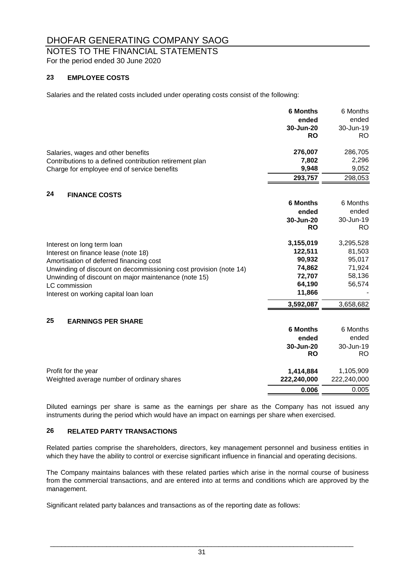# NOTES TO THE FINANCIAL STATEMENTS

For the period ended 30 June 2020

#### **23 EMPLOYEE COSTS**

Salaries and the related costs included under operating costs consist of the following:

|                                                                   | <b>6 Months</b> | 6 Months    |
|-------------------------------------------------------------------|-----------------|-------------|
|                                                                   | ended           | ended       |
|                                                                   | 30-Jun-20       | 30-Jun-19   |
|                                                                   | <b>RO</b>       | <b>RO</b>   |
| Salaries, wages and other benefits                                | 276,007         | 286,705     |
| Contributions to a defined contribution retirement plan           | 7,802           | 2,296       |
| Charge for employee end of service benefits                       | 9,948           | 9,052       |
|                                                                   | 293,757         | 298,053     |
| 24<br><b>FINANCE COSTS</b>                                        |                 |             |
|                                                                   | <b>6 Months</b> | 6 Months    |
|                                                                   | ended           | ended       |
|                                                                   | 30-Jun-20       | 30-Jun-19   |
|                                                                   | <b>RO</b>       | RO          |
| Interest on long term loan                                        | 3,155,019       | 3,295,528   |
| Interest on finance lease (note 18)                               | 122,511         | 81,503      |
| Amortisation of deferred financing cost                           | 90,932          | 95,017      |
| Unwinding of discount on decommissioning cost provision (note 14) | 74,862          | 71,924      |
| Unwinding of discount on major maintenance (note 15)              | 72,707          | 58,136      |
| LC commission                                                     | 64,190          | 56,574      |
| Interest on working capital loan loan                             | 11,866          |             |
|                                                                   | 3,592,087       | 3,658,682   |
| 25<br><b>EARNINGS PER SHARE</b>                                   |                 |             |
|                                                                   | <b>6 Months</b> | 6 Months    |
|                                                                   | ended           | ended       |
|                                                                   | 30-Jun-20       | 30-Jun-19   |
|                                                                   | <b>RO</b>       | RO.         |
| Profit for the year                                               | 1,414,884       | 1,105,909   |
| Weighted average number of ordinary shares                        | 222,240,000     | 222,240,000 |
|                                                                   | 0.006           | 0.005       |

Diluted earnings per share is same as the earnings per share as the Company has not issued any instruments during the period which would have an impact on earnings per share when exercised.

#### **26 RELATED PARTY TRANSACTIONS**

Related parties comprise the shareholders, directors, key management personnel and business entities in which they have the ability to control or exercise significant influence in financial and operating decisions.

The Company maintains balances with these related parties which arise in the normal course of business from the commercial transactions, and are entered into at terms and conditions which are approved by the management.

Significant related party balances and transactions as of the reporting date as follows: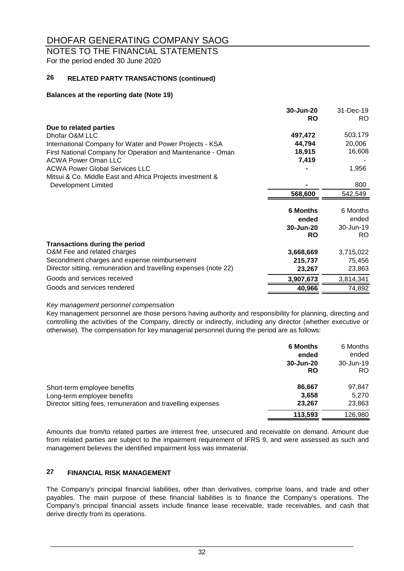## NOTES TO THE FINANCIAL STATEMENTS

For the period ended 30 June 2020

#### **26 RELATED PARTY TRANSACTIONS (continued)**

#### **Balances at the reporting date (Note 19)**

|                                                                  | 30-Jun-20<br><b>RO</b> | 31-Dec-19<br>RO. |
|------------------------------------------------------------------|------------------------|------------------|
| Due to related parties                                           |                        |                  |
| Dhofar O&M LLC                                                   | 497,472                | 503,179          |
| International Company for Water and Power Projects - KSA         | 44,794                 | 20,006           |
| First National Company for Operation and Maintenance - Oman      | 18,915                 | 16,608           |
| <b>ACWA Power Oman LLC</b>                                       | 7,419                  |                  |
| <b>ACWA Power Global Services LLC</b>                            |                        | 1,956            |
| Mitsui & Co. Middle East and Africa Projects investment &        |                        |                  |
| Development Limited                                              |                        | 800              |
|                                                                  | 568,600                | 542,549          |
|                                                                  |                        |                  |
|                                                                  | <b>6 Months</b>        | 6 Months         |
|                                                                  | ended                  | ended            |
|                                                                  | 30-Jun-20              | 30-Jun-19        |
|                                                                  | <b>RO</b>              | RO.              |
| <b>Transactions during the period</b>                            |                        |                  |
| O&M Fee and related charges                                      | 3,668,669              | 3,715,022        |
| Secondment charges and expense reimbursement                     | 215,737                | 75,456           |
| Director sitting, remuneration and travelling expenses (note 22) | 23,267                 | 23,863           |
| Goods and services received                                      | 3,907,673              | 3,814,341        |
| Goods and services rendered                                      | 40,966                 | 74,892           |

#### *Key management personnel compensation*

Key management personnel are those persons having authority and responsibility for planning, directing and controlling the activities of the Company, directly or indirectly, including any director (whether executive or otherwise). The compensation for key managerial personnel during the period are as follows:

|                                                                                                                            | <b>6 Months</b><br>ended<br>30-Jun-20<br>RO | 6 Months<br>ended<br>30-Jun-19<br>RO. |
|----------------------------------------------------------------------------------------------------------------------------|---------------------------------------------|---------------------------------------|
| Short-term employee benefits<br>Long-term employee benefits<br>Director sitting fees, remuneration and travelling expenses | 86,667<br>3,658<br>23,267                   | 97,847<br>5,270<br>23,863             |
|                                                                                                                            | 113,593                                     | 126,980                               |

Amounts due from/to related parties are interest free, unsecured and receivable on demand. Amount due from related parties are subject to the impairment requirement of IFRS 9, and were assessed as such and management believes the identified impairment loss was immaterial.

#### **27 FINANCIAL RISK MANAGEMENT**

The Company's principal financial liabilities, other than derivatives, comprise loans, and trade and other payables. The main purpose of these financial liabilities is to finance the Company's operations. The Company's principal financial assets include finance lease receivable, trade receivables, and cash that derive directly from its operations.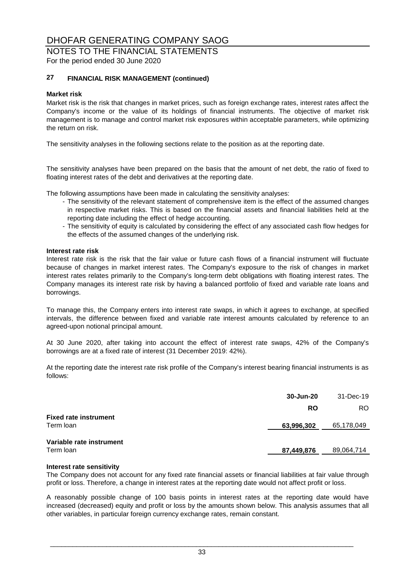# NOTES TO THE FINANCIAL STATEMENTS

For the period ended 30 June 2020

#### **27 FINANCIAL RISK MANAGEMENT (continued)**

#### **Market risk**

Market risk is the risk that changes in market prices, such as foreign exchange rates, interest rates affect the Company's income or the value of its holdings of financial instruments. The objective of market risk management is to manage and control market risk exposures within acceptable parameters, while optimizing the return on risk.

The sensitivity analyses in the following sections relate to the position as at the reporting date.

The sensitivity analyses have been prepared on the basis that the amount of net debt, the ratio of fixed to floating interest rates of the debt and derivatives at the reporting date.

The following assumptions have been made in calculating the sensitivity analyses:

- The sensitivity of the relevant statement of comprehensive item is the effect of the assumed changes in respective market risks. This is based on the financial assets and financial liabilities held at the reporting date including the effect of hedge accounting.
- The sensitivity of equity is calculated by considering the effect of any associated cash flow hedges for the effects of the assumed changes of the underlying risk.

#### **Interest rate risk**

Interest rate risk is the risk that the fair value or future cash flows of a financial instrument will fluctuate because of changes in market interest rates. The Company's exposure to the risk of changes in market interest rates relates primarily to the Company's long-term debt obligations with floating interest rates. The Company manages its interest rate risk by having a balanced portfolio of fixed and variable rate loans and borrowings.

To manage this, the Company enters into interest rate swaps, in which it agrees to exchange, at specified intervals, the difference between fixed and variable rate interest amounts calculated by reference to an agreed-upon notional principal amount.

At 30 June 2020, after taking into account the effect of interest rate swaps, 42% of the Company's borrowings are at a fixed rate of interest (31 December 2019: 42%).

At the reporting date the interest rate risk profile of the Company's interest bearing financial instruments is as follows:

|                                           | 30-Jun-20  | 31-Dec-19  |
|-------------------------------------------|------------|------------|
|                                           | <b>RO</b>  | RO.        |
| <b>Fixed rate instrument</b><br>Term loan | 63,996,302 | 65,178,049 |
| Variable rate instrument<br>Term Ioan     | 87,449,876 | 89,064,714 |

#### **Interest rate sensitivity**

The Company does not account for any fixed rate financial assets or financial liabilities at fair value through profit or loss. Therefore, a change in interest rates at the reporting date would not affect profit or loss.

A reasonably possible change of 100 basis points in interest rates at the reporting date would have increased (decreased) equity and profit or loss by the amounts shown below. This analysis assumes that all other variables, in particular foreign currency exchange rates, remain constant.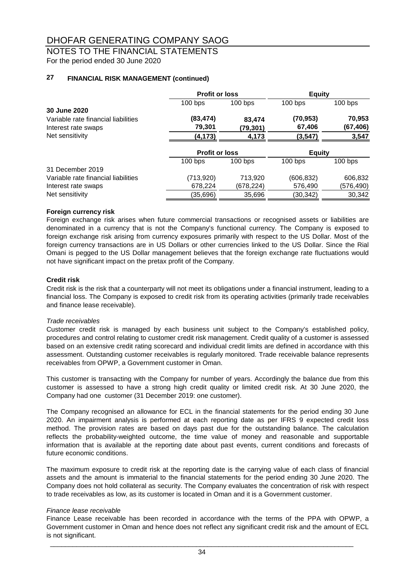### NOTES TO THE FINANCIAL STATEMENTS

For the period ended 30 June 2020

#### **27 FINANCIAL RISK MANAGEMENT (continued)**

|                                     | <b>Profit or loss</b> |           | <b>Equity</b> |            |
|-------------------------------------|-----------------------|-----------|---------------|------------|
|                                     | $100$ bps             | $100$ bps | $100$ bps     | $100$ bps  |
| 30 June 2020                        |                       |           |               |            |
| Variable rate financial liabilities | (83,474)              | 83,474    | (70, 953)     | 70,953     |
| Interest rate swaps                 | 79,301                | (79,301)  | 67,406        | (67, 406)  |
| Net sensitivity                     | (4, 173)              | 4,173     | (3, 547)      | 3,547      |
|                                     | <b>Profit or loss</b> |           | <b>Equity</b> |            |
|                                     | $100$ bps             | $100$ bps | $100$ bps     | $100$ bps  |
| 31 December 2019                    |                       |           |               |            |
| Variable rate financial liabilities | (713,920)             | 713,920   | (606, 832)    | 606,832    |
| Interest rate swaps                 | 678,224               | (678,224) | 576,490       | (576, 490) |
| Net sensitivity                     | (35,696)              | 35,696    | (30,342)      | 30,342     |

#### **Foreign currency risk**

Foreign exchange risk arises when future commercial transactions or recognised assets or liabilities are denominated in a currency that is not the Company's functional currency. The Company is exposed to foreign exchange risk arising from currency exposures primarily with respect to the US Dollar. Most of the foreign currency transactions are in US Dollars or other currencies linked to the US Dollar. Since the Rial Omani is pegged to the US Dollar management believes that the foreign exchange rate fluctuations would not have significant impact on the pretax profit of the Company.

#### **Credit risk**

Credit risk is the risk that a counterparty will not meet its obligations under a financial instrument, leading to a financial loss. The Company is exposed to credit risk from its operating activities (primarily trade receivables and finance lease receivable).

#### *Trade receivables*

Customer credit risk is managed by each business unit subject to the Company's established policy, procedures and control relating to customer credit risk management. Credit quality of a customer is assessed based on an extensive credit rating scorecard and individual credit limits are defined in accordance with this assessment. Outstanding customer receivables is regularly monitored. Trade receivable balance represents receivables from OPWP, a Government customer in Oman.

This customer is transacting with the Company for number of years. Accordingly the balance due from this customer is assessed to have a strong high credit quality or limited credit risk. At 30 June 2020, the Company had one customer (31 December 2019: one customer).

The Company recognised an allowance for ECL in the financial statements for the period ending 30 June 2020. An impairment analysis is performed at each reporting date as per IFRS 9 expected credit loss method. The provision rates are based on days past due for the outstanding balance. The calculation reflects the probability-weighted outcome, the time value of money and reasonable and supportable information that is available at the reporting date about past events, current conditions and forecasts of future economic conditions.

The maximum exposure to credit risk at the reporting date is the carrying value of each class of financial assets and the amount is immaterial to the financial statements for the period ending 30 June 2020. The Company does not hold collateral as security. The Company evaluates the concentration of risk with respect to trade receivables as low, as its customer is located in Oman and it is a Government customer.

#### *Finance lease receivable*

Finance Lease receivable has been recorded in accordance with the terms of the PPA with OPWP, a Government customer in Oman and hence does not reflect any significant credit risk and the amount of ECL is not significant.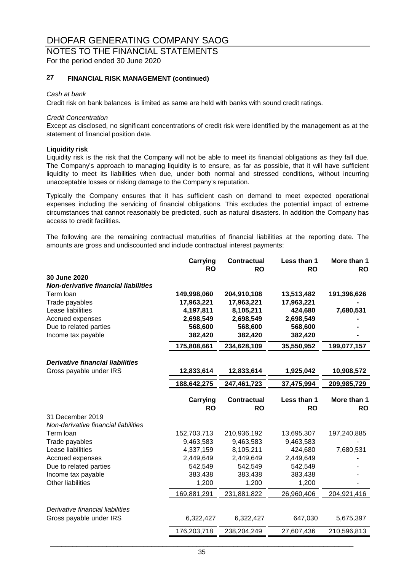# NOTES TO THE FINANCIAL STATEMENTS

For the period ended 30 June 2020

#### **27 FINANCIAL RISK MANAGEMENT (continued)**

#### *Cash at bank*

Credit risk on bank balances is limited as same are held with banks with sound credit ratings.

#### *Credit Concentration*

Except as disclosed, no significant concentrations of credit risk were identified by the management as at the statement of financial position date.

#### **Liquidity risk**

Liquidity risk is the risk that the Company will not be able to meet its financial obligations as they fall due. The Company's approach to managing liquidity is to ensure, as far as possible, that it will have sufficient liquidity to meet its liabilities when due, under both normal and stressed conditions, without incurring unacceptable losses or risking damage to the Company's reputation.

Typically the Company ensures that it has sufficient cash on demand to meet expected operational expenses including the servicing of financial obligations. This excludes the potential impact of extreme circumstances that cannot reasonably be predicted, such as natural disasters. In addition the Company has access to credit facilities.

The following are the remaining contractual maturities of financial liabilities at the reporting date. The amounts are gross and undiscounted and include contractual interest payments:

|                                             | Carrying              | <b>Contractual</b>              | Less than 1              | More than 1              |
|---------------------------------------------|-----------------------|---------------------------------|--------------------------|--------------------------|
| 30 June 2020                                | <b>RO</b>             | <b>RO</b>                       | <b>RO</b>                | <b>RO</b>                |
| <b>Non-derivative financial liabilities</b> |                       |                                 |                          |                          |
| Term loan                                   | 149,998,060           | 204,910,108                     | 13,513,482               | 191,396,626              |
| Trade payables                              | 17,963,221            | 17,963,221                      | 17,963,221               |                          |
| Lease liabilities                           | 4,197,811             | 8,105,211                       | 424,680                  | 7,680,531                |
| Accrued expenses                            | 2,698,549             | 2,698,549                       | 2,698,549                |                          |
| Due to related parties                      | 568,600               | 568,600                         | 568,600                  |                          |
| Income tax payable                          | 382,420               | 382,420                         | 382,420                  |                          |
|                                             | 175,808,661           | 234,628,109                     | 35,550,952               | 199,077,157              |
| <b>Derivative financial liabilities</b>     |                       |                                 |                          |                          |
| Gross payable under IRS                     | 12,833,614            | 12,833,614                      | 1,925,042                | 10,908,572               |
|                                             | 188,642,275           | 247,461,723                     | 37,475,994               | 209,985,729              |
|                                             | Carrying<br><b>RO</b> | <b>Contractual</b><br><b>RO</b> | Less than 1<br><b>RO</b> | More than 1<br><b>RO</b> |
| 31 December 2019                            |                       |                                 |                          |                          |
| Non-derivative financial liabilities        |                       |                                 |                          |                          |
| Term loan                                   | 152,703,713           | 210,936,192                     | 13,695,307               | 197,240,885              |
| Trade payables                              | 9,463,583             | 9,463,583                       | 9,463,583                |                          |
| Lease liabilities                           | 4,337,159             | 8,105,211                       | 424,680                  | 7,680,531                |
| Accrued expenses                            | 2,449,649             | 2,449,649                       | 2,449,649                |                          |
| Due to related parties                      | 542,549               | 542,549                         | 542,549                  |                          |
| Income tax payable                          | 383,438               | 383,438                         | 383,438                  |                          |
| Other liabilities                           | 1,200                 | 1,200                           | 1,200                    |                          |
|                                             | 169,881,291           | 231,881,822                     | 26,960,406               | 204,921,416              |
| Derivative financial liabilities            |                       |                                 |                          |                          |
| Gross payable under IRS                     | 6,322,427             | 6,322,427                       | 647,030                  | 5,675,397                |
|                                             | 176,203,718           | 238,204,249                     | 27,607,436               | 210,596,813              |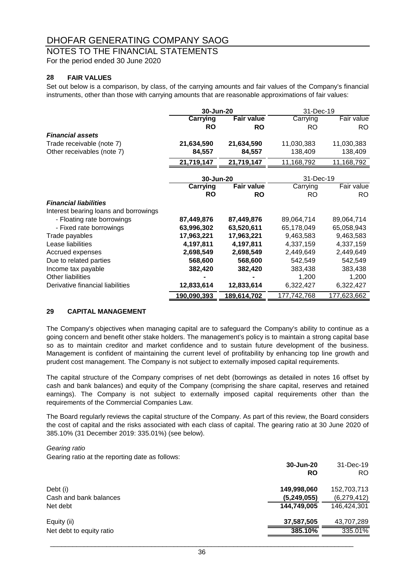### NOTES TO THE FINANCIAL STATEMENTS

For the period ended 30 June 2020

#### **28 FAIR VALUES**

Set out below is a comparison, by class, of the carrying amounts and fair values of the Company's financial instruments, other than those with carrying amounts that are reasonable approximations of fair values:

|                                       | 30-Jun-20   |                   | 31-Dec-19   |             |
|---------------------------------------|-------------|-------------------|-------------|-------------|
|                                       | Carrying    | <b>Fair value</b> | Carrying    | Fair value  |
|                                       | <b>RO</b>   | <b>RO</b>         | RO.         | RO.         |
| <b>Financial assets</b>               |             |                   |             |             |
| Trade receivable (note 7)             | 21,634,590  | 21,634,590        | 11,030,383  | 11,030,383  |
| Other receivables (note 7)            | 84,557      | 84,557            | 138,409     | 138,409     |
|                                       | 21,719,147  | 21,719,147        | 11,168,792  | 11,168,792  |
|                                       | 30-Jun-20   |                   | 31-Dec-19   |             |
|                                       | Carrying    | <b>Fair value</b> | Carrying    | Fair value  |
|                                       | <b>RO</b>   | <b>RO</b>         | <b>RO</b>   | RO.         |
| <b>Financial liabilities</b>          |             |                   |             |             |
| Interest bearing loans and borrowings |             |                   |             |             |
| - Floating rate borrowings            | 87,449,876  | 87,449,876        | 89,064,714  | 89,064,714  |
| - Fixed rate borrowings               | 63,996,302  | 63,520,611        | 65,178,049  | 65,058,943  |
| Trade payables                        | 17,963,221  | 17,963,221        | 9,463,583   | 9,463,583   |
| Lease liabilities                     | 4,197,811   | 4,197,811         | 4,337,159   | 4,337,159   |
| Accrued expenses                      | 2,698,549   | 2,698,549         | 2,449,649   | 2,449,649   |
| Due to related parties                | 568,600     | 568,600           | 542,549     | 542,549     |
| Income tax payable                    | 382,420     | 382,420           | 383,438     | 383,438     |
| <b>Other liabilities</b>              |             |                   | 1,200       | 1,200       |
| Derivative financial liabilities      | 12,833,614  | 12,833,614        | 6,322,427   | 6,322,427   |
|                                       | 190,090,393 | 189,614,702       | 177,742,768 | 177,623,662 |

#### **29 CAPITAL MANAGEMENT**

The Company's objectives when managing capital are to safeguard the Company's ability to continue as a going concern and benefit other stake holders. The management's policy is to maintain a strong capital base so as to maintain creditor and market confidence and to sustain future development of the business. Management is confident of maintaining the current level of profitability by enhancing top line growth and prudent cost management. The Company is not subject to externally imposed capital requirements.

The capital structure of the Company comprises of net debt (borrowings as detailed in notes 16 offset by cash and bank balances) and equity of the Company (comprising the share capital, reserves and retained earnings). The Company is not subject to externally imposed capital requirements other than the requirements of the Commercial Companies Law.

The Board regularly reviews the capital structure of the Company. As part of this review, the Board considers the cost of capital and the risks associated with each class of capital. The gearing ratio at 30 June 2020 of 385.10% (31 December 2019: 335.01%) (see below).

*Gearing ratio*

Gearing ratio at the reporting date as follows:

|                          | 30-Jun-20   | 31-Dec-19   |
|--------------------------|-------------|-------------|
|                          | <b>RO</b>   | RO.         |
| Debt (i)                 | 149,998,060 | 152,703,713 |
| Cash and bank balances   | (5,249,055) | (6,279,412) |
| Net debt                 | 144,749,005 | 146,424,301 |
| Equity (ii)              | 37,587,505  | 43,707,289  |
| Net debt to equity ratio | 385.10%     | 335.01%     |
|                          |             |             |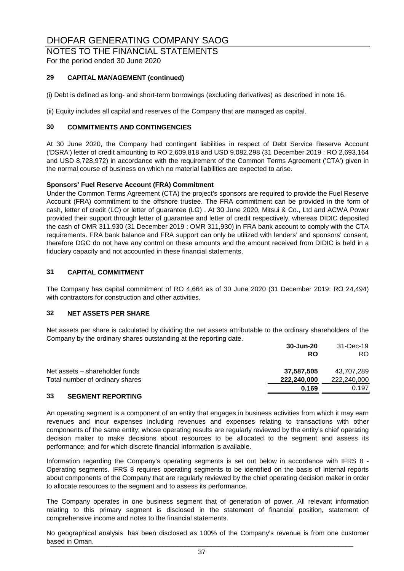### NOTES TO THE FINANCIAL STATEMENTS

For the period ended 30 June 2020

#### **29 CAPITAL MANAGEMENT (continued)**

(i) Debt is defined as long- and short-term borrowings (excluding derivatives) as described in note 16.

(ii) Equity includes all capital and reserves of the Company that are managed as capital.

#### **30 COMMITMENTS AND CONTINGENCIES**

At 30 June 2020, the Company had contingent liabilities in respect of Debt Service Reserve Account ('DSRA') letter of credit amounting to RO 2,609,818 and USD 9,082,298 (31 December 2019 : RO 2,693,164 and USD 8,728,972) in accordance with the requirement of the Common Terms Agreement ('CTA') given in the normal course of business on which no material liabilities are expected to arise.

#### **Sponsors' Fuel Reserve Account (FRA) Commitment**

Under the Common Terms Agreement (CTA) the project's sponsors are required to provide the Fuel Reserve Account (FRA) commitment to the offshore trustee. The FRA commitment can be provided in the form of cash, letter of credit (LC) or letter of guarantee (LG) . At 30 June 2020, Mitsui & Co., Ltd and ACWA Power provided their support through letter of guarantee and letter of credit respectively, whereas DIDIC deposited the cash of OMR 311,930 (31 December 2019 : OMR 311,930) in FRA bank account to comply with the CTA requirements. FRA bank balance and FRA support can only be utilized with lenders' and sponsors' consent, therefore DGC do not have any control on these amounts and the amount received from DIDIC is held in a fiduciary capacity and not accounted in these financial statements.

#### **31 CAPITAL COMMITMENT**

The Company has capital commitment of RO 4,664 as of 30 June 2020 (31 December 2019: RO 24,494) with contractors for construction and other activities.

#### **32 NET ASSETS PER SHARE**

Net assets per share is calculated by dividing the net assets attributable to the ordinary shareholders of the Company by the ordinary shares outstanding at the reporting date.

|                                 | 30-Jun-20   | 31-Dec-19   |
|---------------------------------|-------------|-------------|
|                                 | <b>RO</b>   | RO.         |
| Net assets – shareholder funds  | 37.587.505  | 43.707.289  |
| Total number of ordinary shares | 222,240,000 | 222,240,000 |
|                                 | 0.169       | 0.197       |

#### **33 SEGMENT REPORTING**

An operating segment is a component of an entity that engages in business activities from which it may earn revenues and incur expenses including revenues and expenses relating to transactions with other components of the same entity; whose operating results are regularly reviewed by the entity's chief operating decision maker to make decisions about resources to be allocated to the segment and assess its performance; and for which discrete financial information is available.

Information regarding the Company's operating segments is set out below in accordance with IFRS 8 - Operating segments. IFRS 8 requires operating segments to be identified on the basis of internal reports about components of the Company that are regularly reviewed by the chief operating decision maker in order to allocate resources to the segment and to assess its performance.

The Company operates in one business segment that of generation of power. All relevant information relating to this primary segment is disclosed in the statement of financial position, statement of comprehensive income and notes to the financial statements.

No geographical analysis has been disclosed as 100% of the Company's revenue is from one customer based in Oman. \_\_\_\_\_\_\_\_\_\_\_\_\_\_\_\_\_\_\_\_\_\_\_\_\_\_\_\_\_\_\_\_\_\_\_\_\_\_\_\_\_\_\_\_\_\_\_\_\_\_\_\_\_\_\_\_\_\_\_\_\_\_\_\_\_\_\_\_\_\_\_\_\_\_\_\_\_\_\_\_\_